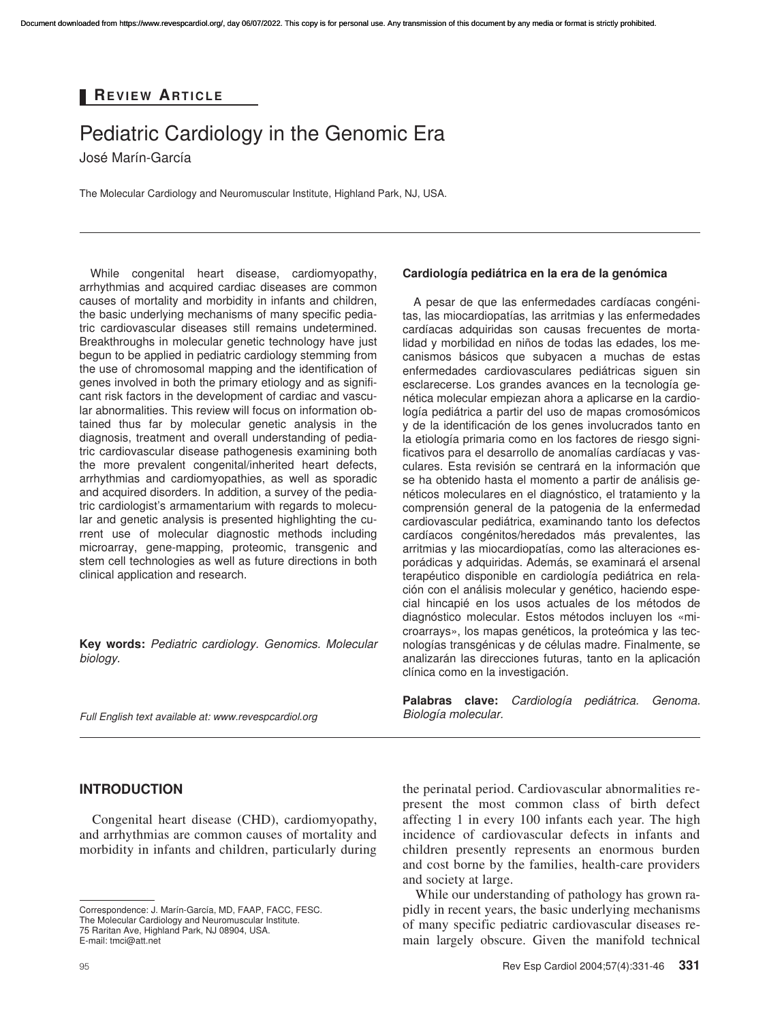# **REVIEW ARTICLE**

# Pediatric Cardiology in the Genomic Era José Marín-García

The Molecular Cardiology and Neuromuscular Institute, Highland Park, NJ, USA.

While congenital heart disease, cardiomyopathy, arrhythmias and acquired cardiac diseases are common causes of mortality and morbidity in infants and children, the basic underlying mechanisms of many specific pediatric cardiovascular diseases still remains undetermined. Breakthroughs in molecular genetic technology have just begun to be applied in pediatric cardiology stemming from the use of chromosomal mapping and the identification of genes involved in both the primary etiology and as significant risk factors in the development of cardiac and vascular abnormalities. This review will focus on information obtained thus far by molecular genetic analysis in the diagnosis, treatment and overall understanding of pediatric cardiovascular disease pathogenesis examining both the more prevalent congenital/inherited heart defects, arrhythmias and cardiomyopathies, as well as sporadic and acquired disorders. In addition, a survey of the pediatric cardiologist's armamentarium with regards to molecular and genetic analysis is presented highlighting the current use of molecular diagnostic methods including microarray, gene-mapping, proteomic, transgenic and stem cell technologies as well as future directions in both clinical application and research.

**Key words:** Pediatric cardiology. Genomics. Molecular biology.

Full English text available at: www.revespcardiol.org **Biologia molecular.** 

### **Cardiología pediátrica en la era de la genómica**

A pesar de que las enfermedades cardíacas congénitas, las miocardiopatías, las arritmias y las enfermedades cardíacas adquiridas son causas frecuentes de mortalidad y morbilidad en niños de todas las edades, los mecanismos básicos que subyacen a muchas de estas enfermedades cardiovasculares pediátricas siguen sin esclarecerse. Los grandes avances en la tecnología genética molecular empiezan ahora a aplicarse en la cardiología pediátrica a partir del uso de mapas cromosómicos y de la identificación de los genes involucrados tanto en la etiología primaria como en los factores de riesgo significativos para el desarrollo de anomalías cardíacas y vasculares. Esta revisión se centrará en la información que se ha obtenido hasta el momento a partir de análisis genéticos moleculares en el diagnóstico, el tratamiento y la comprensión general de la patogenia de la enfermedad cardiovascular pediátrica, examinando tanto los defectos cardíacos congénitos/heredados más prevalentes, las arritmias y las miocardiopatías, como las alteraciones esporádicas y adquiridas. Además, se examinará el arsenal terapéutico disponible en cardiología pediátrica en relación con el análisis molecular y genético, haciendo especial hincapié en los usos actuales de los métodos de diagnóstico molecular. Estos métodos incluyen los «microarrays», los mapas genéticos, la proteómica y las tecnologías transgénicas y de células madre. Finalmente, se analizarán las direcciones futuras, tanto en la aplicación clínica como en la investigación.

**Palabras clave:** Cardiología pediátrica. Genoma.

# **INTRODUCTION**

Congenital heart disease (CHD), cardiomyopathy, and arrhythmias are common causes of mortality and morbidity in infants and children, particularly during

Correspondence: J. Marín-García, MD, FAAP, FACC, FESC. The Molecular Cardiology and Neuromuscular Institute.

75 Raritan Ave, Highland Park, NJ 08904, USA.

E-mail: tmci@att.net

the perinatal period. Cardiovascular abnormalities represent the most common class of birth defect affecting 1 in every 100 infants each year. The high incidence of cardiovascular defects in infants and children presently represents an enormous burden and cost borne by the families, health-care providers and society at large.

While our understanding of pathology has grown rapidly in recent years, the basic underlying mechanisms of many specific pediatric cardiovascular diseases remain largely obscure. Given the manifold technical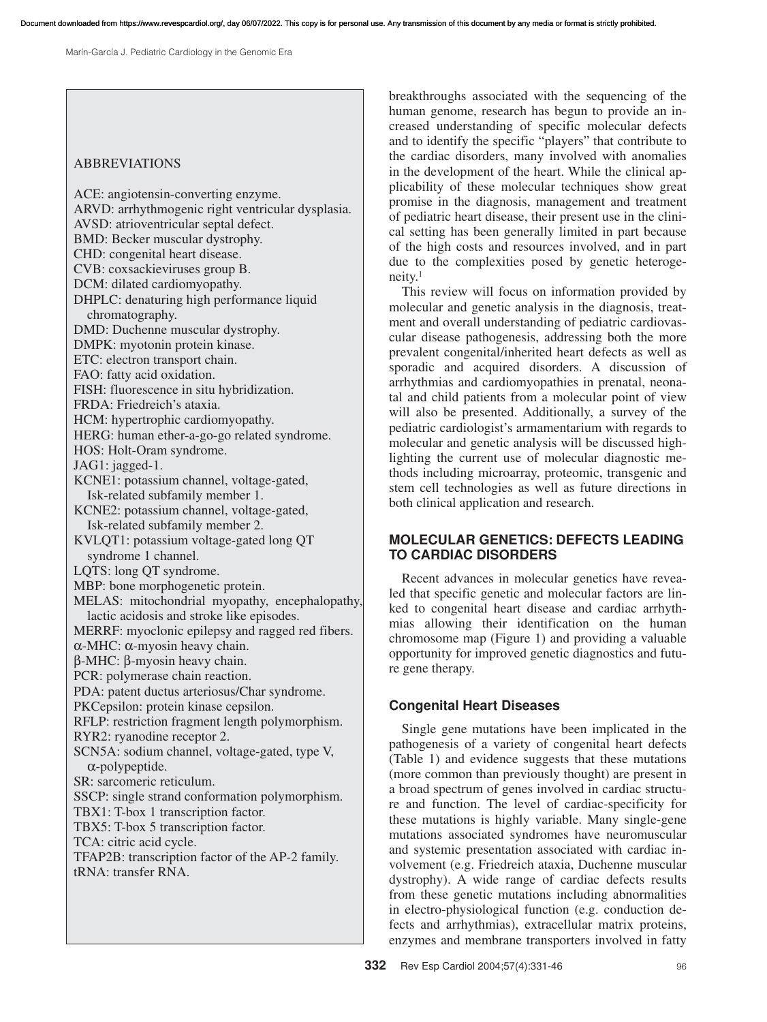# ABBREVIATIONS

ACE: angiotensin-converting enzyme. ARVD: arrhythmogenic right ventricular dysplasia. AVSD: atrioventricular septal defect. BMD: Becker muscular dystrophy. CHD: congenital heart disease. CVB: coxsackieviruses group B. DCM: dilated cardiomyopathy. DHPLC: denaturing high performance liquid chromatography. DMD: Duchenne muscular dystrophy. DMPK: myotonin protein kinase. ETC: electron transport chain. FAO: fatty acid oxidation. FISH: fluorescence in situ hybridization. FRDA: Friedreich's ataxia. HCM: hypertrophic cardiomyopathy. HERG: human ether-a-go-go related syndrome. HOS: Holt-Oram syndrome. JAG1: jagged-1. KCNE1: potassium channel, voltage-gated, Isk-related subfamily member 1. KCNE2: potassium channel, voltage-gated, Isk-related subfamily member 2. KVLQT1: potassium voltage-gated long QT syndrome 1 channel. LQTS: long QT syndrome. MBP: bone morphogenetic protein. MELAS: mitochondrial myopathy, encephalopathy, lactic acidosis and stroke like episodes. MERRF: myoclonic epilepsy and ragged red fibers. α-MHC: α-myosin heavy chain. β-MHC: β-myosin heavy chain. PCR: polymerase chain reaction. PDA: patent ductus arteriosus/Char syndrome. PKCepsilon: protein kinase cepsilon. RFLP: restriction fragment length polymorphism. RYR2: ryanodine receptor 2. SCN5A: sodium channel, voltage-gated, type V, α-polypeptide. SR: sarcomeric reticulum. SSCP: single strand conformation polymorphism. TBX1: T-box 1 transcription factor. TBX5: T-box 5 transcription factor. TCA: citric acid cycle. TFAP2B: transcription factor of the AP-2 family. tRNA: transfer RNA.

breakthroughs associated with the sequencing of the human genome, research has begun to provide an increased understanding of specific molecular defects and to identify the specific "players" that contribute to the cardiac disorders, many involved with anomalies in the development of the heart. While the clinical applicability of these molecular techniques show great promise in the diagnosis, management and treatment of pediatric heart disease, their present use in the clinical setting has been generally limited in part because of the high costs and resources involved, and in part due to the complexities posed by genetic heteroge $neity<sup>1</sup>$ 

This review will focus on information provided by molecular and genetic analysis in the diagnosis, treatment and overall understanding of pediatric cardiovascular disease pathogenesis, addressing both the more prevalent congenital/inherited heart defects as well as sporadic and acquired disorders. A discussion of arrhythmias and cardiomyopathies in prenatal, neonatal and child patients from a molecular point of view will also be presented. Additionally, a survey of the pediatric cardiologist's armamentarium with regards to molecular and genetic analysis will be discussed highlighting the current use of molecular diagnostic methods including microarray, proteomic, transgenic and stem cell technologies as well as future directions in both clinical application and research.

# **MOLECULAR GENETICS: DEFECTS LEADING TO CARDIAC DISORDERS**

Recent advances in molecular genetics have revealed that specific genetic and molecular factors are linked to congenital heart disease and cardiac arrhythmias allowing their identification on the human chromosome map (Figure 1) and providing a valuable opportunity for improved genetic diagnostics and future gene therapy.

## **Congenital Heart Diseases**

Single gene mutations have been implicated in the pathogenesis of a variety of congenital heart defects (Table 1) and evidence suggests that these mutations (more common than previously thought) are present in a broad spectrum of genes involved in cardiac structure and function. The level of cardiac-specificity for these mutations is highly variable. Many single-gene mutations associated syndromes have neuromuscular and systemic presentation associated with cardiac involvement (e.g. Friedreich ataxia, Duchenne muscular dystrophy). A wide range of cardiac defects results from these genetic mutations including abnormalities in electro-physiological function (e.g. conduction defects and arrhythmias), extracellular matrix proteins, enzymes and membrane transporters involved in fatty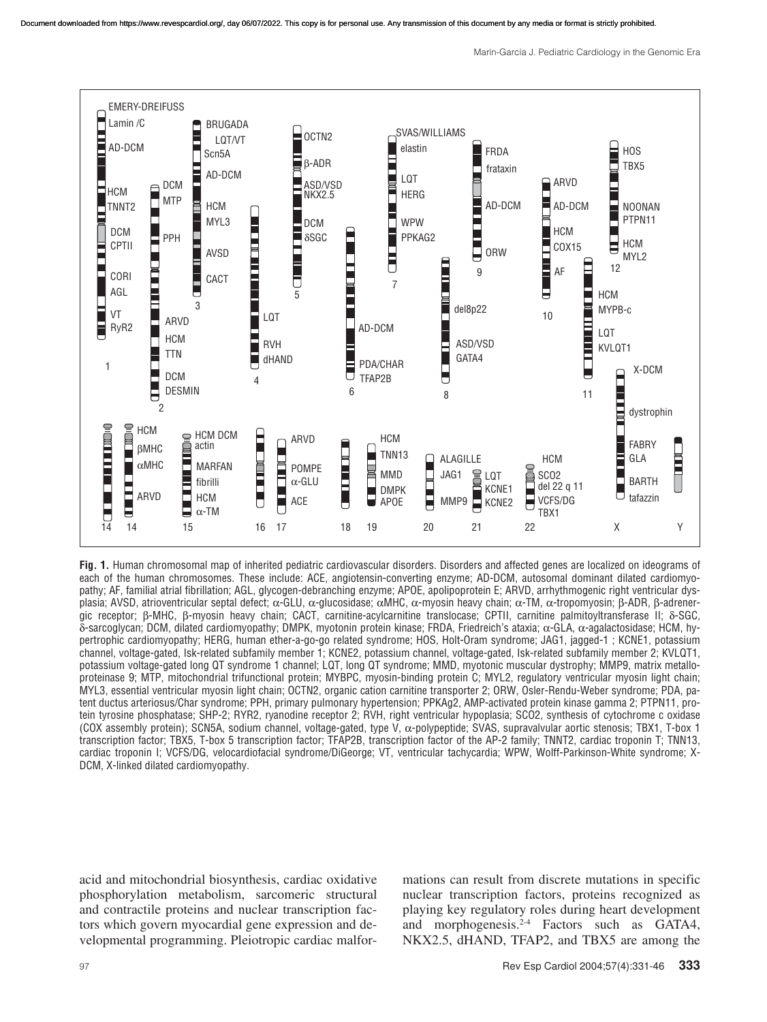

**Fig. 1.** Human chromosomal map of inherited pediatric cardiovascular disorders. Disorders and affected genes are localized on ideograms of each of the human chromosomes. These include: ACE, angiotensin-converting enzyme; AD-DCM, autosomal dominant dilated cardiomyopathy; AF, familial atrial fibrillation; AGL, glycogen-debranching enzyme; APOE, apolipoprotein E; ARVD, arrhythmogenic right ventricular dysplasia; AVSD, atrioventricular septal defect; α-GLU, α-glucosidase; αMHC, α-myosin heavy chain; α-TM, α-tropomyosin; β-ADR, β-adrenergic receptor; β-MHC, β-myosin heavy chain; CACT, carnitine-acylcarnitine translocase; CPTII, carnitine palmitoyltransferase II; δ-SGC, δ-sarcoglycan; DCM, dilated cardiomyopathy; DMPK, myotonin protein kinase; FRDA, Friedreich's ataxia; α-GLA, α-agalactosidase; HCM, hypertrophic cardiomyopathy; HERG, human ether-a-go-go related syndrome; HOS, Holt-Oram syndrome; JAG1, jagged-1 ; KCNE1, potassium channel, voltage-gated, Isk-related subfamily member 1; KCNE2, potassium channel, voltage-gated, Isk-related subfamily member 2; KVLQT1, potassium voltage-gated long QT syndrome 1 channel; LQT, long QT syndrome; MMD, myotonic muscular dystrophy; MMP9, matrix metalloproteinase 9; MTP, mitochondrial trifunctional protein; MYBPC, myosin-binding protein C; MYL2, regulatory ventricular myosin light chain; MYL3, essential ventricular myosin light chain; OCTN2, organic cation carnitine transporter 2; ORW, Osler-Rendu-Weber syndrome; PDA, patent ductus arteriosus/Char syndrome; PPH, primary pulmonary hypertension; PPKAg2, AMP-activated protein kinase gamma 2; PTPN11, protein tyrosine phosphatase; SHP-2; RYR2, ryanodine receptor 2; RVH, right ventricular hypoplasia; SCO2, synthesis of cytochrome c oxidase (COX assembly protein); SCN5A, sodium channel, voltage-gated, type V, α-polypeptide; SVAS, supravalvular aortic stenosis; TBX1, T-box 1 transcription factor; TBX5, T-box 5 transcription factor; TFAP2B, transcription factor of the AP-2 family; TNNT2, cardiac troponin T; TNN13, cardiac troponin I; VCFS/DG, velocardiofacial syndrome/DiGeorge; VT, ventricular tachycardia; WPW, Wolff-Parkinson-White syndrome; X-DCM, X-linked dilated cardiomyopathy.

acid and mitochondrial biosynthesis, cardiac oxidative phosphorylation metabolism, sarcomeric structural and contractile proteins and nuclear transcription factors which govern myocardial gene expression and developmental programming. Pleiotropic cardiac malformations can result from discrete mutations in specific nuclear transcription factors, proteins recognized as playing key regulatory roles during heart development and morphogenesis.<sup>2-4</sup> Factors such as GATA4, NKX2.5, dHAND, TFAP2, and TBX5 are among the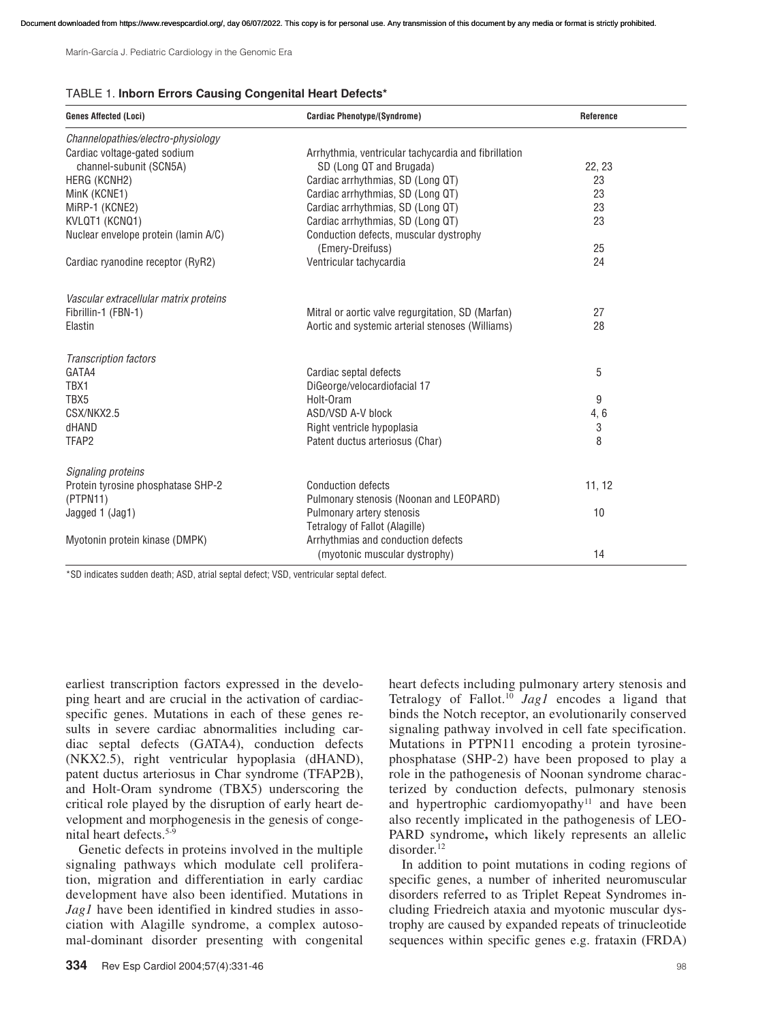#### TABLE 1. **Inborn Errors Causing Congenital Heart Defects\***

| <b>Genes Affected (Loci)</b>           | <b>Cardiac Phenotype/(Syndrome)</b>                  | Reference |  |  |
|----------------------------------------|------------------------------------------------------|-----------|--|--|
| Channelopathies/electro-physiology     |                                                      |           |  |  |
| Cardiac voltage-gated sodium           | Arrhythmia, ventricular tachycardia and fibrillation |           |  |  |
| channel-subunit (SCN5A)                | SD (Long QT and Brugada)                             | 22, 23    |  |  |
| HERG (KCNH2)                           | Cardiac arrhythmias, SD (Long QT)                    | 23        |  |  |
| MinK (KCNE1)                           | Cardiac arrhythmias, SD (Long QT)                    | 23        |  |  |
| MiRP-1 (KCNE2)                         | Cardiac arrhythmias, SD (Long QT)                    | 23        |  |  |
| KVLQT1 (KCNQ1)                         | Cardiac arrhythmias, SD (Long QT)                    | 23        |  |  |
| Nuclear envelope protein (lamin A/C)   | Conduction defects, muscular dystrophy               |           |  |  |
|                                        | (Emery-Dreifuss)                                     | 25<br>24  |  |  |
| Cardiac ryanodine receptor (RyR2)      | Ventricular tachycardia                              |           |  |  |
| Vascular extracellular matrix proteins |                                                      |           |  |  |
| Fibrillin-1 (FBN-1)                    | Mitral or aortic valve regurgitation, SD (Marfan)    | 27        |  |  |
| Elastin                                | Aortic and systemic arterial stenoses (Williams)     | 28        |  |  |
| <b>Transcription factors</b>           |                                                      |           |  |  |
| GATA4                                  | Cardiac septal defects                               | 5         |  |  |
| TBX1                                   | DiGeorge/velocardiofacial 17                         |           |  |  |
| TBX5                                   | Holt-Oram                                            | 9         |  |  |
| CSX/NKX2.5                             | ASD/VSD A-V block                                    | 4,6       |  |  |
| dHAND                                  | Right ventricle hypoplasia                           | 3         |  |  |
| TFAP <sub>2</sub>                      | Patent ductus arteriosus (Char)                      | 8         |  |  |
| Signaling proteins                     |                                                      |           |  |  |
| Protein tyrosine phosphatase SHP-2     | <b>Conduction defects</b>                            | 11, 12    |  |  |
| (PTPN11)                               | Pulmonary stenosis (Noonan and LEOPARD)              |           |  |  |
| Jagged 1 (Jag1)                        | Pulmonary artery stenosis                            | 10        |  |  |
|                                        | Tetralogy of Fallot (Alagille)                       |           |  |  |
| Myotonin protein kinase (DMPK)         | Arrhythmias and conduction defects                   |           |  |  |
|                                        | (myotonic muscular dystrophy)                        | 14        |  |  |

\*SD indicates sudden death; ASD, atrial septal defect; VSD, ventricular septal defect.

earliest transcription factors expressed in the developing heart and are crucial in the activation of cardiacspecific genes. Mutations in each of these genes results in severe cardiac abnormalities including cardiac septal defects (GATA4), conduction defects (NKX2.5), right ventricular hypoplasia (dHAND), patent ductus arteriosus in Char syndrome (TFAP2B), and Holt-Oram syndrome (TBX5) underscoring the critical role played by the disruption of early heart development and morphogenesis in the genesis of congenital heart defects.<sup>5-9</sup>

Genetic defects in proteins involved in the multiple signaling pathways which modulate cell proliferation, migration and differentiation in early cardiac development have also been identified. Mutations in *Jag1* have been identified in kindred studies in association with Alagille syndrome, a complex autosomal-dominant disorder presenting with congenital

**334** Rev Esp Cardiol 2004;57(4):331-46 **98** 

heart defects including pulmonary artery stenosis and Tetralogy of Fallot.<sup>10</sup> *Jag1* encodes a ligand that binds the Notch receptor, an evolutionarily conserved signaling pathway involved in cell fate specification. Mutations in PTPN11 encoding a protein tyrosinephosphatase (SHP-2) have been proposed to play a role in the pathogenesis of Noonan syndrome characterized by conduction defects, pulmonary stenosis and hypertrophic cardiomyopathy<sup>11</sup> and have been also recently implicated in the pathogenesis of LEO-PARD syndrome**,** which likely represents an allelic disorder.<sup>12</sup>

In addition to point mutations in coding regions of specific genes, a number of inherited neuromuscular disorders referred to as Triplet Repeat Syndromes including Friedreich ataxia and myotonic muscular dystrophy are caused by expanded repeats of trinucleotide sequences within specific genes e.g. frataxin (FRDA)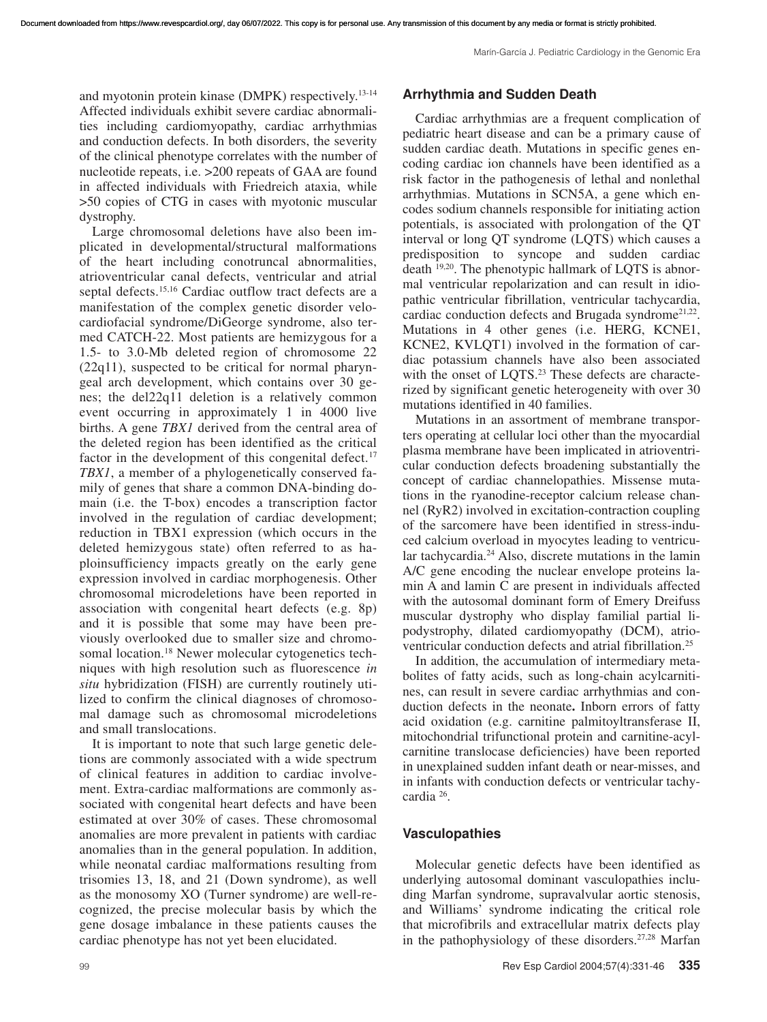and myotonin protein kinase (DMPK) respectively.13-14 Affected individuals exhibit severe cardiac abnormalities including cardiomyopathy, cardiac arrhythmias and conduction defects. In both disorders, the severity of the clinical phenotype correlates with the number of nucleotide repeats, i.e. >200 repeats of GAA are found in affected individuals with Friedreich ataxia, while >50 copies of CTG in cases with myotonic muscular dystrophy.

Large chromosomal deletions have also been implicated in developmental/structural malformations of the heart including conotruncal abnormalities, atrioventricular canal defects, ventricular and atrial septal defects.<sup>15,16</sup> Cardiac outflow tract defects are a manifestation of the complex genetic disorder velocardiofacial syndrome/DiGeorge syndrome, also termed CATCH-22. Most patients are hemizygous for a 1.5- to 3.0-Mb deleted region of chromosome 22 (22q11), suspected to be critical for normal pharyngeal arch development, which contains over 30 genes; the del22q11 deletion is a relatively common event occurring in approximately 1 in 4000 live births. A gene *TBX1* derived from the central area of the deleted region has been identified as the critical factor in the development of this congenital defect.<sup>17</sup> *TBX1*, a member of a phylogenetically conserved family of genes that share a common DNA-binding domain (i.e. the T-box) encodes a transcription factor involved in the regulation of cardiac development; reduction in TBX1 expression (which occurs in the deleted hemizygous state) often referred to as haploinsufficiency impacts greatly on the early gene expression involved in cardiac morphogenesis. Other chromosomal microdeletions have been reported in association with congenital heart defects (e.g. 8p) and it is possible that some may have been previously overlooked due to smaller size and chromosomal location.<sup>18</sup> Newer molecular cytogenetics techniques with high resolution such as fluorescence *in situ* hybridization (FISH) are currently routinely utilized to confirm the clinical diagnoses of chromosomal damage such as chromosomal microdeletions and small translocations.

It is important to note that such large genetic deletions are commonly associated with a wide spectrum of clinical features in addition to cardiac involvement. Extra-cardiac malformations are commonly associated with congenital heart defects and have been estimated at over 30% of cases. These chromosomal anomalies are more prevalent in patients with cardiac anomalies than in the general population. In addition, while neonatal cardiac malformations resulting from trisomies 13, 18, and 21 (Down syndrome), as well as the monosomy XO (Turner syndrome) are well-recognized, the precise molecular basis by which the gene dosage imbalance in these patients causes the cardiac phenotype has not yet been elucidated.

#### **Arrhythmia and Sudden Death**

Cardiac arrhythmias are a frequent complication of pediatric heart disease and can be a primary cause of sudden cardiac death. Mutations in specific genes encoding cardiac ion channels have been identified as a risk factor in the pathogenesis of lethal and nonlethal arrhythmias. Mutations in SCN5A, a gene which encodes sodium channels responsible for initiating action potentials, is associated with prolongation of the QT interval or long QT syndrome (LQTS) which causes a predisposition to syncope and sudden cardiac death 19,20. The phenotypic hallmark of LQTS is abnormal ventricular repolarization and can result in idiopathic ventricular fibrillation, ventricular tachycardia, cardiac conduction defects and Brugada syndrome<sup>21,22</sup>. Mutations in 4 other genes (i.e. HERG, KCNE1, KCNE2, KVLQT1) involved in the formation of cardiac potassium channels have also been associated with the onset of LQTS.<sup>23</sup> These defects are characterized by significant genetic heterogeneity with over 30 mutations identified in 40 families.

Mutations in an assortment of membrane transporters operating at cellular loci other than the myocardial plasma membrane have been implicated in atrioventricular conduction defects broadening substantially the concept of cardiac channelopathies. Missense mutations in the ryanodine-receptor calcium release channel (RyR2) involved in excitation-contraction coupling of the sarcomere have been identified in stress-induced calcium overload in myocytes leading to ventricular tachycardia.<sup>24</sup> Also, discrete mutations in the lamin A/C gene encoding the nuclear envelope proteins lamin A and lamin C are present in individuals affected with the autosomal dominant form of Emery Dreifuss muscular dystrophy who display familial partial lipodystrophy, dilated cardiomyopathy (DCM), atrioventricular conduction defects and atrial fibrillation.<sup>25</sup>

In addition, the accumulation of intermediary metabolites of fatty acids, such as long-chain acylcarnitines, can result in severe cardiac arrhythmias and conduction defects in the neonate**.** Inborn errors of fatty acid oxidation (e.g. carnitine palmitoyltransferase II, mitochondrial trifunctional protein and carnitine-acylcarnitine translocase deficiencies) have been reported in unexplained sudden infant death or near-misses, and in infants with conduction defects or ventricular tachycardia <sup>26</sup> .

### **Vasculopathies**

Molecular genetic defects have been identified as underlying autosomal dominant vasculopathies including Marfan syndrome, supravalvular aortic stenosis, and Williams' syndrome indicating the critical role that microfibrils and extracellular matrix defects play in the pathophysiology of these disorders.<sup>27,28</sup> Marfan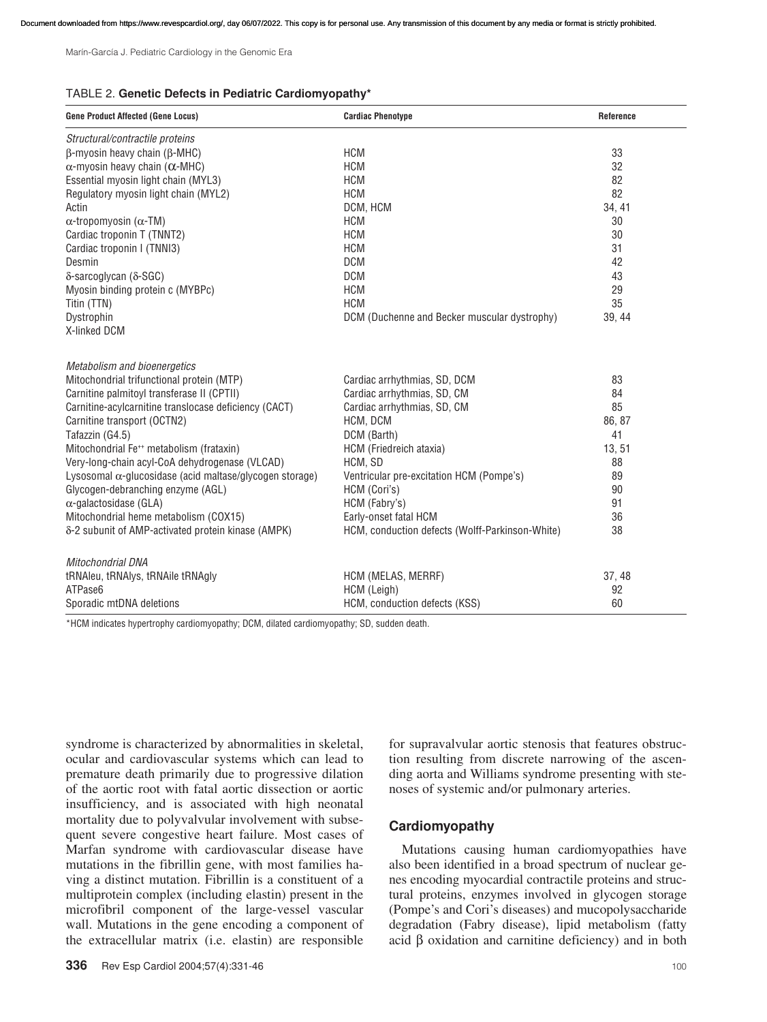#### TABLE 2. **Genetic Defects in Pediatric Cardiomyopathy\***

| <b>Gene Product Affected (Gene Locus)</b>                       | <b>Cardiac Phenotype</b>                        | Reference |
|-----------------------------------------------------------------|-------------------------------------------------|-----------|
| Structural/contractile proteins                                 |                                                 |           |
| $\beta$ -myosin heavy chain ( $\beta$ -MHC)                     | <b>HCM</b>                                      | 33        |
| $\alpha$ -myosin heavy chain ( $\alpha$ -MHC)                   | <b>HCM</b>                                      | 32        |
| Essential myosin light chain (MYL3)                             | <b>HCM</b>                                      | 82        |
| Regulatory myosin light chain (MYL2)                            | <b>HCM</b>                                      | 82        |
| Actin                                                           | DCM, HCM                                        | 34, 41    |
| $\alpha$ -tropomyosin ( $\alpha$ -TM)                           | <b>HCM</b>                                      | 30        |
| Cardiac troponin T (TNNT2)                                      | <b>HCM</b>                                      | 30        |
| Cardiac troponin I (TNNI3)                                      | <b>HCM</b>                                      | 31        |
| Desmin                                                          | <b>DCM</b>                                      | 42        |
| $\delta$ -sarcoglycan ( $\delta$ -SGC)                          | <b>DCM</b>                                      | 43        |
| Myosin binding protein c (MYBPc)                                | <b>HCM</b>                                      | 29        |
| Titin (TTN)                                                     | <b>HCM</b>                                      | 35        |
| Dystrophin                                                      | DCM (Duchenne and Becker muscular dystrophy)    | 39, 44    |
| X-linked DCM                                                    |                                                 |           |
| <b>Metabolism and bioenergetics</b>                             |                                                 |           |
| Mitochondrial trifunctional protein (MTP)                       | Cardiac arrhythmias, SD, DCM                    | 83        |
| Carnitine palmitoyl transferase II (CPTII)                      | Cardiac arrhythmias, SD, CM                     | 84        |
| Carnitine-acylcarnitine translocase deficiency (CACT)           | Cardiac arrhythmias, SD, CM                     | 85        |
| Carnitine transport (OCTN2)                                     | HCM, DCM                                        | 86, 87    |
| Tafazzin (G4.5)                                                 | DCM (Barth)                                     | 41        |
| Mitochondrial Fe <sup>++</sup> metabolism (frataxin)            | HCM (Friedreich ataxia)                         | 13, 51    |
| Very-long-chain acyl-CoA dehydrogenase (VLCAD)                  | HCM, SD                                         | 88        |
| Lysosomal $\alpha$ -glucosidase (acid maltase/glycogen storage) | Ventricular pre-excitation HCM (Pompe's)        | 89        |
| Glycogen-debranching enzyme (AGL)                               | HCM (Cori's)                                    | 90        |
| $\alpha$ -galactosidase (GLA)                                   | HCM (Fabry's)                                   | 91        |
| Mitochondrial heme metabolism (COX15)                           | Early-onset fatal HCM                           | 36        |
| δ-2 subunit of AMP-activated protein kinase (AMPK)              | HCM, conduction defects (Wolff-Parkinson-White) | 38        |
| Mitochondrial DNA                                               |                                                 |           |
| tRNAleu, tRNAlys, tRNAile tRNAgly                               | HCM (MELAS, MERRF)                              | 37, 48    |
| ATPase6                                                         | HCM (Leigh)                                     | 92        |
| Sporadic mtDNA deletions                                        | HCM, conduction defects (KSS)                   | 60        |

\*HCM indicates hypertrophy cardiomyopathy; DCM, dilated cardiomyopathy; SD, sudden death.

syndrome is characterized by abnormalities in skeletal, ocular and cardiovascular systems which can lead to premature death primarily due to progressive dilation of the aortic root with fatal aortic dissection or aortic insufficiency, and is associated with high neonatal mortality due to polyvalvular involvement with subsequent severe congestive heart failure. Most cases of Marfan syndrome with cardiovascular disease have mutations in the fibrillin gene, with most families having a distinct mutation. Fibrillin is a constituent of a multiprotein complex (including elastin) present in the microfibril component of the large-vessel vascular wall. Mutations in the gene encoding a component of the extracellular matrix (i.e. elastin) are responsible for supravalvular aortic stenosis that features obstruction resulting from discrete narrowing of the ascending aorta and Williams syndrome presenting with stenoses of systemic and/or pulmonary arteries.

### **Cardiomyopathy**

Mutations causing human cardiomyopathies have also been identified in a broad spectrum of nuclear genes encoding myocardial contractile proteins and structural proteins, enzymes involved in glycogen storage (Pompe's and Cori's diseases) and mucopolysaccharide degradation (Fabry disease), lipid metabolism (fatty acid β oxidation and carnitine deficiency) and in both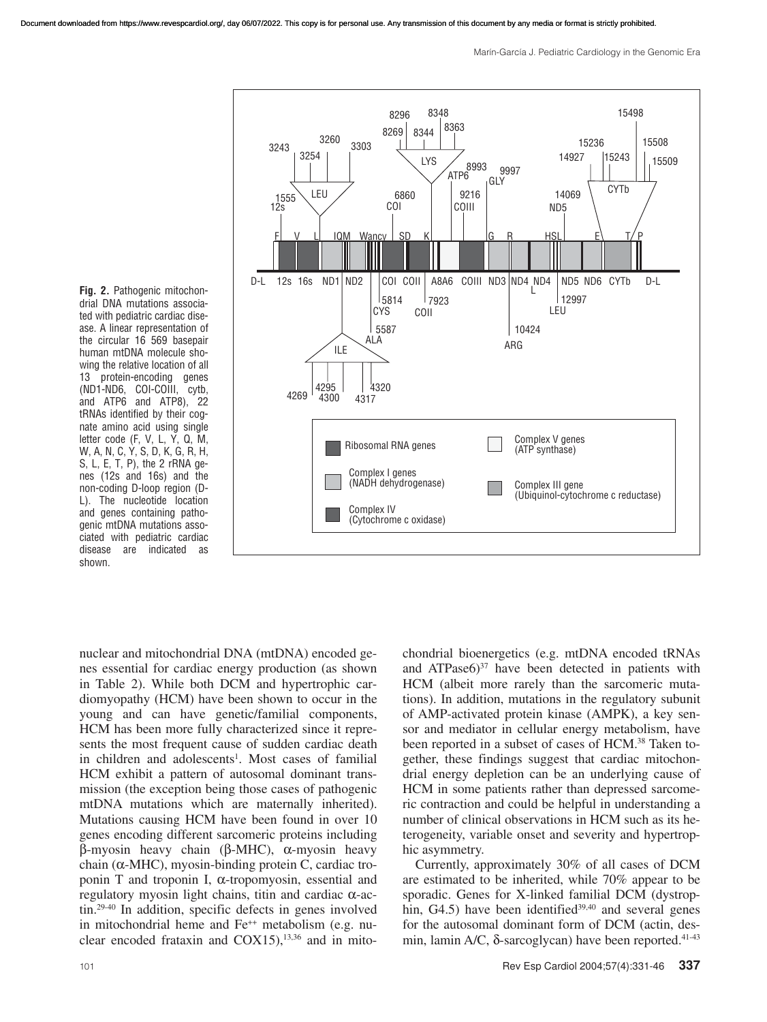**Fig. 2.** Pathogenic mitochondrial DNA mutations associated with pediatric cardiac disease. A linear representation of the circular 16 569 basepair human mtDNA molecule showing the relative location of all 13 protein-encoding genes (ND1-ND6, COI-COIII, cytb, and ATP6 and ATP8), 22 tRNAs identified by their cognate amino acid using single letter code (F, V, L, Y, Q, M, W, A, N, C, Y, S, D, K, G, R, H, S, L, E, T, P), the 2 rRNA genes (12s and 16s) and the non-coding D-loop region (D-L). The nucleotide location and genes containing pathogenic mtDNA mutations associated with pediatric cardiac disease are indicated as shown.



nuclear and mitochondrial DNA (mtDNA) encoded genes essential for cardiac energy production (as shown in Table 2). While both DCM and hypertrophic cardiomyopathy (HCM) have been shown to occur in the young and can have genetic/familial components, HCM has been more fully characterized since it represents the most frequent cause of sudden cardiac death in children and adolescents<sup>1</sup>. Most cases of familial HCM exhibit a pattern of autosomal dominant transmission (the exception being those cases of pathogenic mtDNA mutations which are maternally inherited). Mutations causing HCM have been found in over 10 genes encoding different sarcomeric proteins including β-myosin heavy chain (β-MHC), α-myosin heavy chain (α-MHC), myosin-binding protein C, cardiac troponin T and troponin I, α-tropomyosin, essential and regulatory myosin light chains, titin and cardiac α-actin.29-40 In addition, specific defects in genes involved in mitochondrial heme and Fe<sup>++</sup> metabolism (e.g. nuclear encoded frataxin and  $COX15$ ),<sup>13,36</sup> and in mitochondrial bioenergetics (e.g. mtDNA encoded tRNAs and ATPase $6$ )<sup>37</sup> have been detected in patients with HCM (albeit more rarely than the sarcomeric mutations). In addition, mutations in the regulatory subunit of AMP-activated protein kinase (AMPK), a key sensor and mediator in cellular energy metabolism, have been reported in a subset of cases of HCM.<sup>38</sup> Taken together, these findings suggest that cardiac mitochondrial energy depletion can be an underlying cause of HCM in some patients rather than depressed sarcomeric contraction and could be helpful in understanding a number of clinical observations in HCM such as its heterogeneity, variable onset and severity and hypertrophic asymmetry.

Currently, approximately 30% of all cases of DCM are estimated to be inherited, while 70% appear to be sporadic. Genes for X-linked familial DCM (dystrophin,  $G4.5$ ) have been identified<sup>39,40</sup> and several genes for the autosomal dominant form of DCM (actin, desmin, lamin A/C, δ-sarcoglycan) have been reported.<sup>41-43</sup>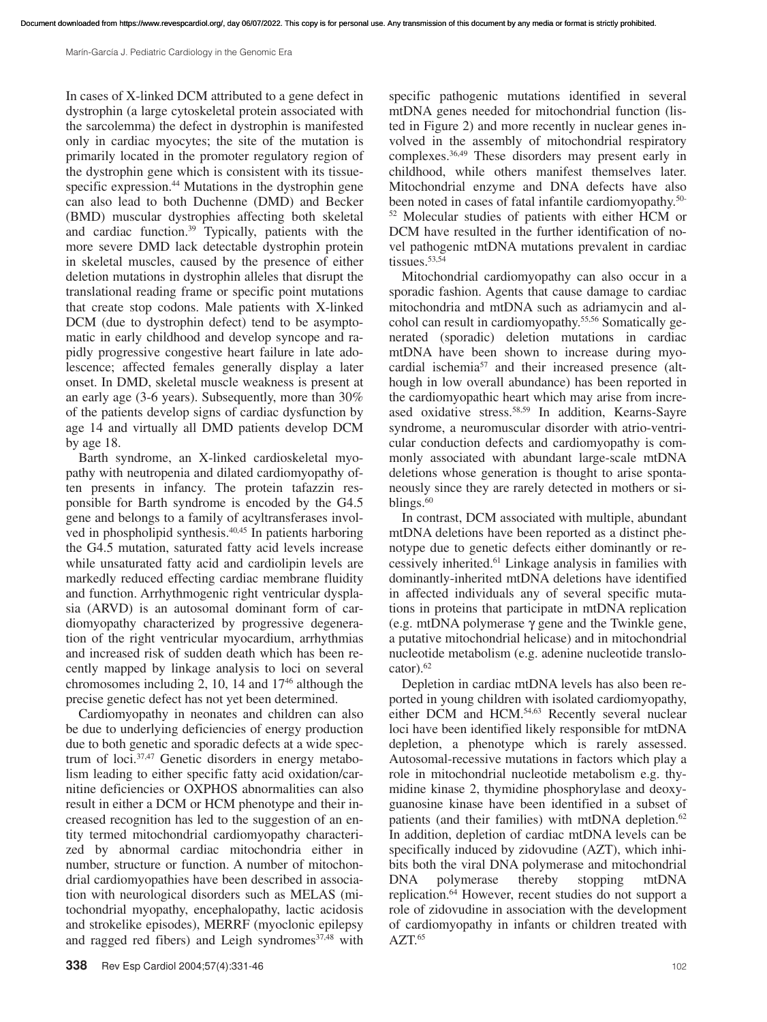In cases of X-linked DCM attributed to a gene defect in dystrophin (a large cytoskeletal protein associated with the sarcolemma) the defect in dystrophin is manifested only in cardiac myocytes; the site of the mutation is primarily located in the promoter regulatory region of the dystrophin gene which is consistent with its tissuespecific expression.<sup>44</sup> Mutations in the dystrophin gene can also lead to both Duchenne (DMD) and Becker (BMD) muscular dystrophies affecting both skeletal and cardiac function.<sup>39</sup> Typically, patients with the more severe DMD lack detectable dystrophin protein in skeletal muscles, caused by the presence of either deletion mutations in dystrophin alleles that disrupt the translational reading frame or specific point mutations that create stop codons. Male patients with X-linked DCM (due to dystrophin defect) tend to be asymptomatic in early childhood and develop syncope and rapidly progressive congestive heart failure in late adolescence; affected females generally display a later onset. In DMD, skeletal muscle weakness is present at an early age (3-6 years). Subsequently, more than 30% of the patients develop signs of cardiac dysfunction by age 14 and virtually all DMD patients develop DCM by age 18.

Barth syndrome, an X-linked cardioskeletal myopathy with neutropenia and dilated cardiomyopathy often presents in infancy. The protein tafazzin responsible for Barth syndrome is encoded by the G4.5 gene and belongs to a family of acyltransferases involved in phospholipid synthesis.40,45 In patients harboring the G4.5 mutation, saturated fatty acid levels increase while unsaturated fatty acid and cardiolipin levels are markedly reduced effecting cardiac membrane fluidity and function. Arrhythmogenic right ventricular dysplasia (ARVD) is an autosomal dominant form of cardiomyopathy characterized by progressive degeneration of the right ventricular myocardium, arrhythmias and increased risk of sudden death which has been recently mapped by linkage analysis to loci on several chromosomes including  $2$ , 10, 14 and 17<sup>46</sup> although the precise genetic defect has not yet been determined.

Cardiomyopathy in neonates and children can also be due to underlying deficiencies of energy production due to both genetic and sporadic defects at a wide spectrum of loci.37,47 Genetic disorders in energy metabolism leading to either specific fatty acid oxidation/carnitine deficiencies or OXPHOS abnormalities can also result in either a DCM or HCM phenotype and their increased recognition has led to the suggestion of an entity termed mitochondrial cardiomyopathy characterized by abnormal cardiac mitochondria either in number, structure or function. A number of mitochondrial cardiomyopathies have been described in association with neurological disorders such as MELAS (mitochondrial myopathy, encephalopathy, lactic acidosis and strokelike episodes), MERRF (myoclonic epilepsy and ragged red fibers) and Leigh syndromes $37,48$  with

**338** Rev Esp Cardiol 2004;57(4):331-46 102

specific pathogenic mutations identified in several mtDNA genes needed for mitochondrial function (listed in Figure 2) and more recently in nuclear genes involved in the assembly of mitochondrial respiratory complexes.36,49 These disorders may present early in childhood, while others manifest themselves later. Mitochondrial enzyme and DNA defects have also been noted in cases of fatal infantile cardiomyopathy.<sup>50-</sup> <sup>52</sup> Molecular studies of patients with either HCM or DCM have resulted in the further identification of novel pathogenic mtDNA mutations prevalent in cardiac tissues.<sup>53,54</sup>

Mitochondrial cardiomyopathy can also occur in a sporadic fashion. Agents that cause damage to cardiac mitochondria and mtDNA such as adriamycin and alcohol can result in cardiomyopathy.55,56 Somatically generated (sporadic) deletion mutations in cardiac mtDNA have been shown to increase during myocardial ischemia<sup>57</sup> and their increased presence (although in low overall abundance) has been reported in the cardiomyopathic heart which may arise from increased oxidative stress.58,59 In addition, Kearns-Sayre syndrome, a neuromuscular disorder with atrio-ventricular conduction defects and cardiomyopathy is commonly associated with abundant large-scale mtDNA deletions whose generation is thought to arise spontaneously since they are rarely detected in mothers or siblings.<sup>60</sup>

In contrast, DCM associated with multiple, abundant mtDNA deletions have been reported as a distinct phenotype due to genetic defects either dominantly or recessively inherited.<sup>61</sup> Linkage analysis in families with dominantly-inherited mtDNA deletions have identified in affected individuals any of several specific mutations in proteins that participate in mtDNA replication (e.g. mtDNA polymerase γ gene and the Twinkle gene, a putative mitochondrial helicase) and in mitochondrial nucleotide metabolism (e.g. adenine nucleotide translocator).<sup>62</sup>

Depletion in cardiac mtDNA levels has also been reported in young children with isolated cardiomyopathy, either DCM and HCM.<sup>54,63</sup> Recently several nuclear loci have been identified likely responsible for mtDNA depletion, a phenotype which is rarely assessed. Autosomal-recessive mutations in factors which play a role in mitochondrial nucleotide metabolism e.g. thymidine kinase 2, thymidine phosphorylase and deoxyguanosine kinase have been identified in a subset of patients (and their families) with mtDNA depletion.<sup>62</sup> In addition, depletion of cardiac mtDNA levels can be specifically induced by zidovudine (AZT), which inhibits both the viral DNA polymerase and mitochondrial<br>DNA polymerase thereby stopping mtDNA DNA polymerase thereby stopping mtDNA replication.<sup>64</sup> However, recent studies do not support a role of zidovudine in association with the development of cardiomyopathy in infants or children treated with  $AZT<sup>65</sup>$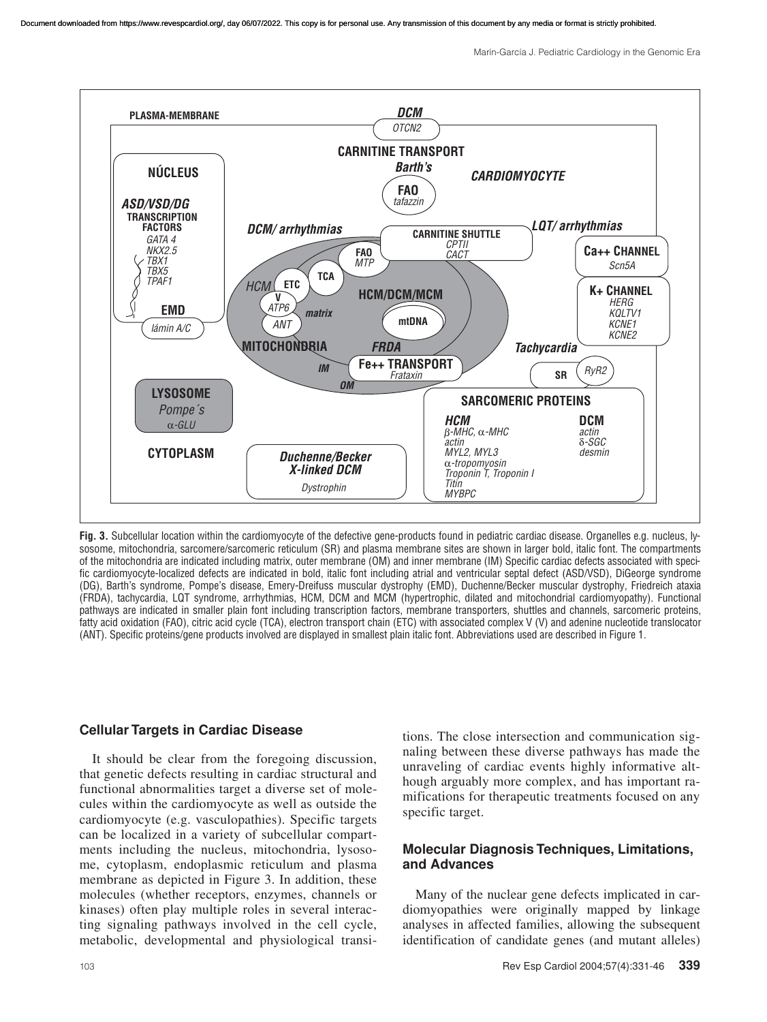

**Fig. 3.** Subcellular location within the cardiomyocyte of the defective gene-products found in pediatric cardiac disease. Organelles e.g. nucleus, lysosome, mitochondria, sarcomere/sarcomeric reticulum (SR) and plasma membrane sites are shown in larger bold, italic font. The compartments of the mitochondria are indicated including matrix, outer membrane (OM) and inner membrane (IM) Specific cardiac defects associated with specific cardiomyocyte-localized defects are indicated in bold, italic font including atrial and ventricular septal defect (ASD/VSD), DiGeorge syndrome (DG), Barth's syndrome, Pompe's disease, Emery-Dreifuss muscular dystrophy (EMD), Duchenne/Becker muscular dystrophy, Friedreich ataxia (FRDA), tachycardia, LQT syndrome, arrhythmias, HCM, DCM and MCM (hypertrophic, dilated and mitochondrial cardiomyopathy). Functional pathways are indicated in smaller plain font including transcription factors, membrane transporters, shuttles and channels, sarcomeric proteins, fatty acid oxidation (FAO), citric acid cycle (TCA), electron transport chain (ETC) with associated complex V (V) and adenine nucleotide translocator (ANT). Specific proteins/gene products involved are displayed in smallest plain italic font. Abbreviations used are described in Figure 1.

### **Cellular Targets in Cardiac Disease**

It should be clear from the foregoing discussion, that genetic defects resulting in cardiac structural and functional abnormalities target a diverse set of molecules within the cardiomyocyte as well as outside the cardiomyocyte (e.g. vasculopathies). Specific targets can be localized in a variety of subcellular compartments including the nucleus, mitochondria, lysosome, cytoplasm, endoplasmic reticulum and plasma membrane as depicted in Figure 3. In addition, these molecules (whether receptors, enzymes, channels or kinases) often play multiple roles in several interacting signaling pathways involved in the cell cycle, metabolic, developmental and physiological transi-

tions. The close intersection and communication signaling between these diverse pathways has made the unraveling of cardiac events highly informative although arguably more complex, and has important ramifications for therapeutic treatments focused on any specific target.

# **Molecular Diagnosis Techniques, Limitations, and Advances**

Many of the nuclear gene defects implicated in cardiomyopathies were originally mapped by linkage analyses in affected families, allowing the subsequent identification of candidate genes (and mutant alleles)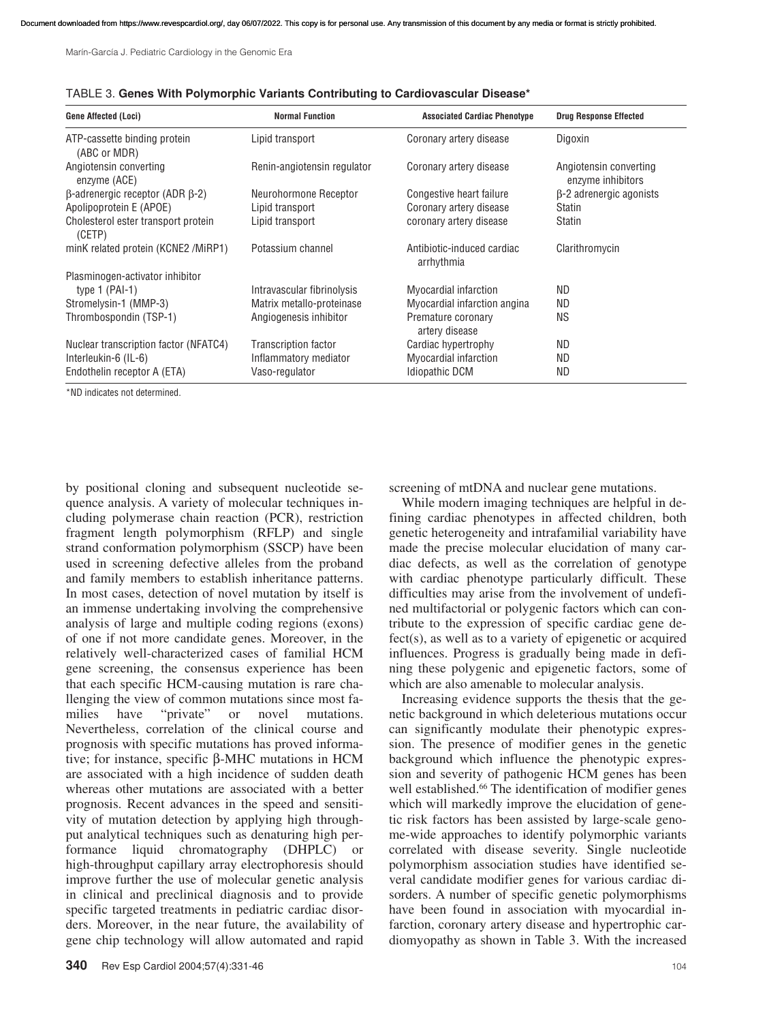| Lipid transport             | Coronary artery disease                  | Digoxin                                     |
|-----------------------------|------------------------------------------|---------------------------------------------|
|                             |                                          |                                             |
| Renin-angiotensin regulator | Coronary artery disease                  | Angiotensin converting<br>enzyme inhibitors |
| Neurohormone Receptor       | Congestive heart failure                 | B-2 adrenergic agonists                     |
| Lipid transport             | Coronary artery disease                  | <b>Statin</b>                               |
| Lipid transport             | coronary artery disease                  | <b>Statin</b>                               |
| Potassium channel           | Antibiotic-induced cardiac<br>arrhythmia | Clarithromycin                              |
|                             |                                          |                                             |
| Intravascular fibrinolysis  | Myocardial infarction                    | ND.                                         |
| Matrix metallo-proteinase   | Myocardial infarction angina             | ND.                                         |
| Angiogenesis inhibitor      | Premature coronary<br>artery disease     | <b>NS</b>                                   |
| <b>Transcription factor</b> | Cardiac hypertrophy                      | ND.                                         |
| Inflammatory mediator       | Myocardial infarction                    | ND.                                         |
| Vaso-regulator              | <b>Idiopathic DCM</b>                    | ND                                          |
|                             |                                          |                                             |

| TABLE 3. Genes With Polymorphic Variants Contributing to Cardiovascular Disease* |  |  |  |
|----------------------------------------------------------------------------------|--|--|--|
|                                                                                  |  |  |  |

\*ND indicates not determined.

by positional cloning and subsequent nucleotide sequence analysis. A variety of molecular techniques including polymerase chain reaction (PCR), restriction fragment length polymorphism (RFLP) and single strand conformation polymorphism (SSCP) have been used in screening defective alleles from the proband and family members to establish inheritance patterns. In most cases, detection of novel mutation by itself is an immense undertaking involving the comprehensive analysis of large and multiple coding regions (exons) of one if not more candidate genes. Moreover, in the relatively well-characterized cases of familial HCM gene screening, the consensus experience has been that each specific HCM-causing mutation is rare challenging the view of common mutations since most fa-<br>milies have "private" or novel mutations. milies have "private" or novel mutations. Nevertheless, correlation of the clinical course and prognosis with specific mutations has proved informative; for instance, specific β-MHC mutations in HCM are associated with a high incidence of sudden death whereas other mutations are associated with a better prognosis. Recent advances in the speed and sensitivity of mutation detection by applying high throughput analytical techniques such as denaturing high performance liquid chromatography (DHPLC) or high-throughput capillary array electrophoresis should improve further the use of molecular genetic analysis in clinical and preclinical diagnosis and to provide specific targeted treatments in pediatric cardiac disorders. Moreover, in the near future, the availability of gene chip technology will allow automated and rapid

screening of mtDNA and nuclear gene mutations.

While modern imaging techniques are helpful in defining cardiac phenotypes in affected children, both genetic heterogeneity and intrafamilial variability have made the precise molecular elucidation of many cardiac defects, as well as the correlation of genotype with cardiac phenotype particularly difficult. These difficulties may arise from the involvement of undefined multifactorial or polygenic factors which can contribute to the expression of specific cardiac gene defect(s), as well as to a variety of epigenetic or acquired influences. Progress is gradually being made in defining these polygenic and epigenetic factors, some of which are also amenable to molecular analysis.

Increasing evidence supports the thesis that the genetic background in which deleterious mutations occur can significantly modulate their phenotypic expression. The presence of modifier genes in the genetic background which influence the phenotypic expression and severity of pathogenic HCM genes has been well established.<sup>66</sup> The identification of modifier genes which will markedly improve the elucidation of genetic risk factors has been assisted by large-scale genome-wide approaches to identify polymorphic variants correlated with disease severity. Single nucleotide polymorphism association studies have identified several candidate modifier genes for various cardiac disorders. A number of specific genetic polymorphisms have been found in association with myocardial infarction, coronary artery disease and hypertrophic cardiomyopathy as shown in Table 3. With the increased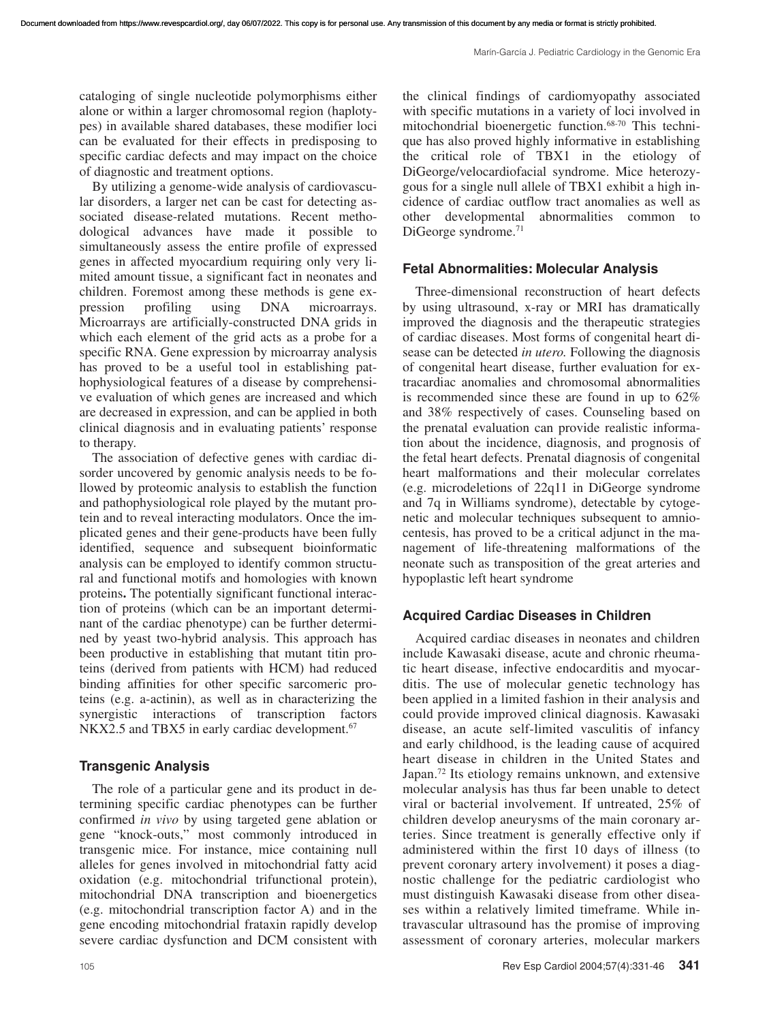cataloging of single nucleotide polymorphisms either alone or within a larger chromosomal region (haplotypes) in available shared databases, these modifier loci can be evaluated for their effects in predisposing to specific cardiac defects and may impact on the choice of diagnostic and treatment options.

By utilizing a genome-wide analysis of cardiovascular disorders, a larger net can be cast for detecting associated disease-related mutations. Recent methodological advances have made it possible to simultaneously assess the entire profile of expressed genes in affected myocardium requiring only very limited amount tissue, a significant fact in neonates and children. Foremost among these methods is gene expression profiling using DNA microarrays. Microarrays are artificially-constructed DNA grids in which each element of the grid acts as a probe for a specific RNA. Gene expression by microarray analysis has proved to be a useful tool in establishing pathophysiological features of a disease by comprehensive evaluation of which genes are increased and which are decreased in expression, and can be applied in both clinical diagnosis and in evaluating patients' response to therapy.

The association of defective genes with cardiac disorder uncovered by genomic analysis needs to be followed by proteomic analysis to establish the function and pathophysiological role played by the mutant protein and to reveal interacting modulators. Once the implicated genes and their gene-products have been fully identified, sequence and subsequent bioinformatic analysis can be employed to identify common structural and functional motifs and homologies with known proteins**.** The potentially significant functional interaction of proteins (which can be an important determinant of the cardiac phenotype) can be further determined by yeast two-hybrid analysis. This approach has been productive in establishing that mutant titin proteins (derived from patients with HCM) had reduced binding affinities for other specific sarcomeric proteins (e.g. a-actinin), as well as in characterizing the synergistic interactions of transcription factors NKX2.5 and TBX5 in early cardiac development.<sup>67</sup>

# **Transgenic Analysis**

The role of a particular gene and its product in determining specific cardiac phenotypes can be further confirmed *in vivo* by using targeted gene ablation or gene "knock-outs," most commonly introduced in transgenic mice. For instance, mice containing null alleles for genes involved in mitochondrial fatty acid oxidation (e.g. mitochondrial trifunctional protein), mitochondrial DNA transcription and bioenergetics (e.g. mitochondrial transcription factor A) and in the gene encoding mitochondrial frataxin rapidly develop severe cardiac dysfunction and DCM consistent with

the clinical findings of cardiomyopathy associated with specific mutations in a variety of loci involved in mitochondrial bioenergetic function.68-70 This technique has also proved highly informative in establishing the critical role of TBX1 in the etiology of DiGeorge/velocardiofacial syndrome. Mice heterozygous for a single null allele of TBX1 exhibit a high incidence of cardiac outflow tract anomalies as well as other developmental abnormalities common to DiGeorge syndrome.<sup>71</sup>

# **Fetal Abnormalities: Molecular Analysis**

Three-dimensional reconstruction of heart defects by using ultrasound, x-ray or MRI has dramatically improved the diagnosis and the therapeutic strategies of cardiac diseases. Most forms of congenital heart disease can be detected *in utero.* Following the diagnosis of congenital heart disease, further evaluation for extracardiac anomalies and chromosomal abnormalities is recommended since these are found in up to 62% and 38% respectively of cases. Counseling based on the prenatal evaluation can provide realistic information about the incidence, diagnosis, and prognosis of the fetal heart defects. Prenatal diagnosis of congenital heart malformations and their molecular correlates (e.g. microdeletions of 22q11 in DiGeorge syndrome and 7q in Williams syndrome), detectable by cytogenetic and molecular techniques subsequent to amniocentesis, has proved to be a critical adjunct in the management of life-threatening malformations of the neonate such as transposition of the great arteries and hypoplastic left heart syndrome

# **Acquired Cardiac Diseases in Children**

Acquired cardiac diseases in neonates and children include Kawasaki disease, acute and chronic rheumatic heart disease, infective endocarditis and myocarditis. The use of molecular genetic technology has been applied in a limited fashion in their analysis and could provide improved clinical diagnosis. Kawasaki disease, an acute self-limited vasculitis of infancy and early childhood, is the leading cause of acquired heart disease in children in the United States and Japan.<sup>72</sup> Its etiology remains unknown, and extensive molecular analysis has thus far been unable to detect viral or bacterial involvement. If untreated, 25% of children develop aneurysms of the main coronary arteries. Since treatment is generally effective only if administered within the first 10 days of illness (to prevent coronary artery involvement) it poses a diagnostic challenge for the pediatric cardiologist who must distinguish Kawasaki disease from other diseases within a relatively limited timeframe. While intravascular ultrasound has the promise of improving assessment of coronary arteries, molecular markers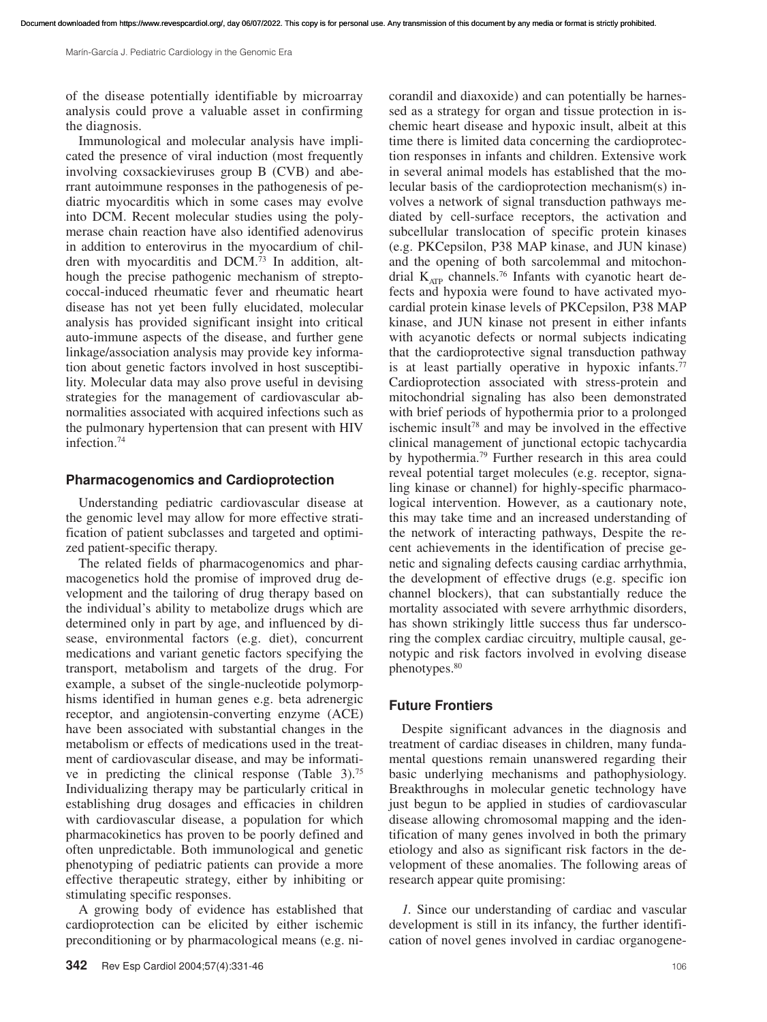of the disease potentially identifiable by microarray analysis could prove a valuable asset in confirming the diagnosis.

Immunological and molecular analysis have implicated the presence of viral induction (most frequently involving coxsackieviruses group B (CVB) and aberrant autoimmune responses in the pathogenesis of pediatric myocarditis which in some cases may evolve into DCM. Recent molecular studies using the polymerase chain reaction have also identified adenovirus in addition to enterovirus in the myocardium of children with myocarditis and DCM.<sup>73</sup> In addition, although the precise pathogenic mechanism of streptococcal-induced rheumatic fever and rheumatic heart disease has not yet been fully elucidated, molecular analysis has provided significant insight into critical auto-immune aspects of the disease, and further gene linkage/association analysis may provide key information about genetic factors involved in host susceptibility. Molecular data may also prove useful in devising strategies for the management of cardiovascular abnormalities associated with acquired infections such as the pulmonary hypertension that can present with HIV infection.<sup>74</sup>

### **Pharmacogenomics and Cardioprotection**

Understanding pediatric cardiovascular disease at the genomic level may allow for more effective stratification of patient subclasses and targeted and optimized patient-specific therapy.

The related fields of pharmacogenomics and pharmacogenetics hold the promise of improved drug development and the tailoring of drug therapy based on the individual's ability to metabolize drugs which are determined only in part by age, and influenced by disease, environmental factors (e.g. diet), concurrent medications and variant genetic factors specifying the transport, metabolism and targets of the drug. For example, a subset of the single-nucleotide polymorphisms identified in human genes e.g. beta adrenergic receptor, and angiotensin-converting enzyme (ACE) have been associated with substantial changes in the metabolism or effects of medications used in the treatment of cardiovascular disease, and may be informative in predicting the clinical response (Table 3).<sup>75</sup> Individualizing therapy may be particularly critical in establishing drug dosages and efficacies in children with cardiovascular disease, a population for which pharmacokinetics has proven to be poorly defined and often unpredictable. Both immunological and genetic phenotyping of pediatric patients can provide a more effective therapeutic strategy, either by inhibiting or stimulating specific responses.

A growing body of evidence has established that cardioprotection can be elicited by either ischemic preconditioning or by pharmacological means (e.g. nicorandil and diaxoxide) and can potentially be harnessed as a strategy for organ and tissue protection in ischemic heart disease and hypoxic insult, albeit at this time there is limited data concerning the cardioprotection responses in infants and children. Extensive work in several animal models has established that the molecular basis of the cardioprotection mechanism(s) involves a network of signal transduction pathways mediated by cell-surface receptors, the activation and subcellular translocation of specific protein kinases (e.g. PKCepsilon, P38 MAP kinase, and JUN kinase) and the opening of both sarcolemmal and mitochondrial  $K_{ATP}$  channels.<sup>76</sup> Infants with cyanotic heart defects and hypoxia were found to have activated myocardial protein kinase levels of PKCepsilon, P38 MAP kinase, and JUN kinase not present in either infants with acyanotic defects or normal subjects indicating that the cardioprotective signal transduction pathway is at least partially operative in hypoxic infants.<sup>77</sup> Cardioprotection associated with stress-protein and mitochondrial signaling has also been demonstrated with brief periods of hypothermia prior to a prolonged ischemic insult<sup>78</sup> and may be involved in the effective clinical management of junctional ectopic tachycardia by hypothermia.<sup>79</sup> Further research in this area could reveal potential target molecules (e.g. receptor, signaling kinase or channel) for highly-specific pharmacological intervention. However, as a cautionary note, this may take time and an increased understanding of the network of interacting pathways, Despite the recent achievements in the identification of precise genetic and signaling defects causing cardiac arrhythmia, the development of effective drugs (e.g. specific ion channel blockers), that can substantially reduce the mortality associated with severe arrhythmic disorders, has shown strikingly little success thus far underscoring the complex cardiac circuitry, multiple causal, genotypic and risk factors involved in evolving disease phenotypes.<sup>80</sup>

#### **Future Frontiers**

Despite significant advances in the diagnosis and treatment of cardiac diseases in children, many fundamental questions remain unanswered regarding their basic underlying mechanisms and pathophysiology. Breakthroughs in molecular genetic technology have just begun to be applied in studies of cardiovascular disease allowing chromosomal mapping and the identification of many genes involved in both the primary etiology and also as significant risk factors in the development of these anomalies. The following areas of research appear quite promising:

*1.* Since our understanding of cardiac and vascular development is still in its infancy, the further identification of novel genes involved in cardiac organogene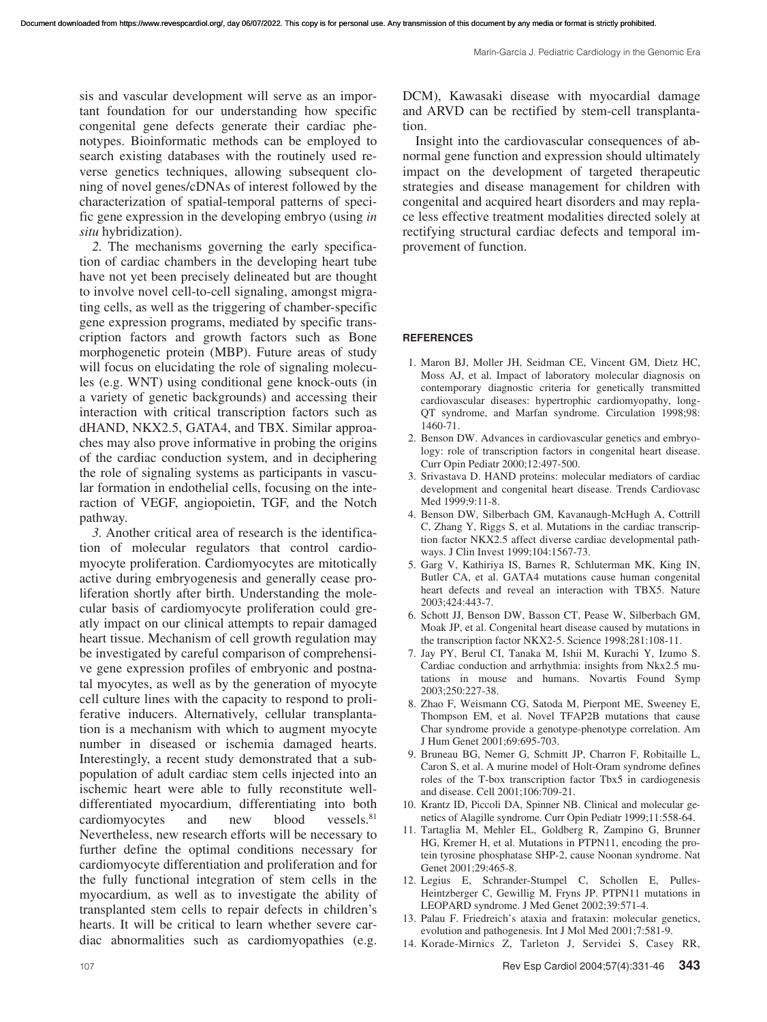sis and vascular development will serve as an important foundation for our understanding how specific congenital gene defects generate their cardiac phenotypes. Bioinformatic methods can be employed to search existing databases with the routinely used reverse genetics techniques, allowing subsequent cloning of novel genes/cDNAs of interest followed by the characterization of spatial-temporal patterns of specific gene expression in the developing embryo (using *in situ* hybridization).

*2.* The mechanisms governing the early specification of cardiac chambers in the developing heart tube have not yet been precisely delineated but are thought to involve novel cell-to-cell signaling, amongst migrating cells, as well as the triggering of chamber-specific gene expression programs, mediated by specific transcription factors and growth factors such as Bone morphogenetic protein (MBP). Future areas of study will focus on elucidating the role of signaling molecules (e.g. WNT) using conditional gene knock-outs (in a variety of genetic backgrounds) and accessing their interaction with critical transcription factors such as dHAND, NKX2.5, GATA4, and TBX. Similar approaches may also prove informative in probing the origins of the cardiac conduction system, and in deciphering the role of signaling systems as participants in vascular formation in endothelial cells, focusing on the interaction of VEGF, angiopoietin, TGF, and the Notch pathway.

*3.* Another critical area of research is the identification of molecular regulators that control cardiomyocyte proliferation. Cardiomyocytes are mitotically active during embryogenesis and generally cease proliferation shortly after birth. Understanding the molecular basis of cardiomyocyte proliferation could greatly impact on our clinical attempts to repair damaged heart tissue. Mechanism of cell growth regulation may be investigated by careful comparison of comprehensive gene expression profiles of embryonic and postnatal myocytes, as well as by the generation of myocyte cell culture lines with the capacity to respond to proliferative inducers. Alternatively, cellular transplantation is a mechanism with which to augment myocyte number in diseased or ischemia damaged hearts. Interestingly, a recent study demonstrated that a subpopulation of adult cardiac stem cells injected into an ischemic heart were able to fully reconstitute welldifferentiated myocardium, differentiating into both cardiomyocytes and new blood vessels.<sup>81</sup> Nevertheless, new research efforts will be necessary to further define the optimal conditions necessary for cardiomyocyte differentiation and proliferation and for the fully functional integration of stem cells in the myocardium, as well as to investigate the ability of transplanted stem cells to repair defects in children's hearts. It will be critical to learn whether severe cardiac abnormalities such as cardiomyopathies (e.g.

DCM), Kawasaki disease with myocardial damage and ARVD can be rectified by stem-cell transplantation.

Insight into the cardiovascular consequences of abnormal gene function and expression should ultimately impact on the development of targeted therapeutic strategies and disease management for children with congenital and acquired heart disorders and may replace less effective treatment modalities directed solely at rectifying structural cardiac defects and temporal improvement of function.

#### **REFERENCES**

- 1. Maron BJ, Moller JH, Seidman CE, Vincent GM, Dietz HC, Moss AJ, et al. Impact of laboratory molecular diagnosis on contemporary diagnostic criteria for genetically transmitted cardiovascular diseases: hypertrophic cardiomyopathy, long-QT syndrome, and Marfan syndrome. Circulation 1998;98: 1460-71.
- 2. Benson DW. Advances in cardiovascular genetics and embryology: role of transcription factors in congenital heart disease. Curr Opin Pediatr 2000;12:497-500.
- 3. Srivastava D. HAND proteins: molecular mediators of cardiac development and congenital heart disease. Trends Cardiovasc Med 1999;9:11-8.
- 4. Benson DW, Silberbach GM, Kavanaugh-McHugh A, Cottrill C, Zhang Y, Riggs S, et al. Mutations in the cardiac transcription factor NKX2.5 affect diverse cardiac developmental pathways. J Clin Invest 1999;104:1567-73.
- 5. Garg V, Kathiriya IS, Barnes R, Schluterman MK, King IN, Butler CA, et al. GATA4 mutations cause human congenital heart defects and reveal an interaction with TBX5. Nature 2003;424:443-7.
- 6. Schott JJ, Benson DW, Basson CT, Pease W, Silberbach GM, Moak JP, et al. Congenital heart disease caused by mutations in the transcription factor NKX2-5. Science 1998;281:108-11.
- 7. Jay PY, Berul CI, Tanaka M, Ishii M, Kurachi Y, Izumo S. Cardiac conduction and arrhythmia: insights from Nkx2.5 mutations in mouse and humans. Novartis Found Symp 2003;250:227-38.
- 8. Zhao F, Weismann CG, Satoda M, Pierpont ME, Sweeney E, Thompson EM, et al. Novel TFAP2B mutations that cause Char syndrome provide a genotype-phenotype correlation. Am J Hum Genet 2001;69:695-703.
- 9. Bruneau BG, Nemer G, Schmitt JP, Charron F, Robitaille L, Caron S, et al. A murine model of Holt-Oram syndrome defines roles of the T-box transcription factor Tbx5 in cardiogenesis and disease. Cell 2001;106:709-21.
- 10. Krantz ID, Piccoli DA, Spinner NB. Clinical and molecular genetics of Alagille syndrome. Curr Opin Pediatr 1999;11:558-64.
- 11. Tartaglia M, Mehler EL, Goldberg R, Zampino G, Brunner HG, Kremer H, et al. Mutations in PTPN11, encoding the protein tyrosine phosphatase SHP-2, cause Noonan syndrome. Nat Genet 2001;29:465-8.
- 12. Legius E, Schrander-Stumpel C, Schollen E, Pulles-Heintzberger C, Gewillig M, Fryns JP. PTPN11 mutations in LEOPARD syndrome. J Med Genet 2002;39:571-4.
- 13. Palau F. Friedreich's ataxia and frataxin: molecular genetics, evolution and pathogenesis. Int J Mol Med 2001;7:581-9.
- 14. Korade-Mirnics Z, Tarleton J, Servidei S, Casey RR,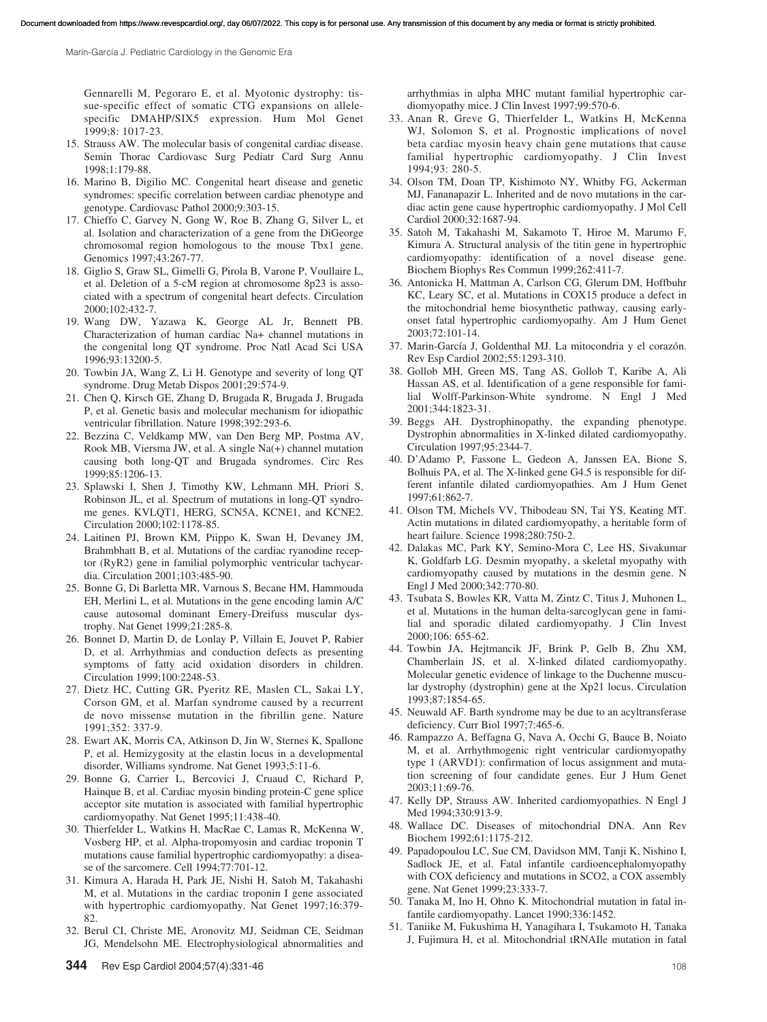Gennarelli M, Pegoraro E, et al. Myotonic dystrophy: tissue-specific effect of somatic CTG expansions on allelespecific DMAHP/SIX5 expression. Hum Mol Genet 1999;8: 1017-23.

- 15. Strauss AW. The molecular basis of congenital cardiac disease. Semin Thorac Cardiovasc Surg Pediatr Card Surg Annu 1998;1:179-88.
- 16. Marino B, Digilio MC. Congenital heart disease and genetic syndromes: specific correlation between cardiac phenotype and genotype. Cardiovasc Pathol 2000;9:303-15.
- 17. Chieffo C, Garvey N, Gong W, Roe B, Zhang G, Silver L, et al. Isolation and characterization of a gene from the DiGeorge chromosomal region homologous to the mouse Tbx1 gene. Genomics 1997;43:267-77.
- 18. Giglio S, Graw SL, Gimelli G, Pirola B, Varone P, Voullaire L, et al. Deletion of a 5-cM region at chromosome 8p23 is associated with a spectrum of congenital heart defects. Circulation 2000;102:432-7.
- 19. Wang DW, Yazawa K, George AL Jr, Bennett PB. Characterization of human cardiac Na+ channel mutations in the congenital long QT syndrome. Proc Natl Acad Sci USA 1996;93:13200-5.
- 20. Towbin JA, Wang Z, Li H. Genotype and severity of long QT syndrome. Drug Metab Dispos 2001;29:574-9.
- 21. Chen Q, Kirsch GE, Zhang D, Brugada R, Brugada J, Brugada P, et al. Genetic basis and molecular mechanism for idiopathic ventricular fibrillation. Nature 1998;392:293-6.
- 22. Bezzina C, Veldkamp MW, van Den Berg MP, Postma AV, Rook MB, Viersma JW, et al. A single Na(+) channel mutation causing both long-QT and Brugada syndromes. Circ Res 1999;85:1206-13.
- 23. Splawski I, Shen J, Timothy KW, Lehmann MH, Priori S, Robinson JL, et al. Spectrum of mutations in long-QT syndrome genes. KVLQT1, HERG, SCN5A, KCNE1, and KCNE2. Circulation 2000;102:1178-85.
- 24. Laitinen PJ, Brown KM, Piippo K, Swan H, Devaney JM, Brahmbhatt B, et al. Mutations of the cardiac ryanodine receptor (RyR2) gene in familial polymorphic ventricular tachycardia. Circulation 2001;103:485-90.
- 25. Bonne G, Di Barletta MR, Varnous S, Becane HM, Hammouda EH, Merlini L, et al. Mutations in the gene encoding lamin A/C cause autosomal dominant Emery-Dreifuss muscular dystrophy. Nat Genet 1999;21:285-8.
- 26. Bonnet D, Martin D, de Lonlay P, Villain E, Jouvet P, Rabier D, et al. Arrhythmias and conduction defects as presenting symptoms of fatty acid oxidation disorders in children. Circulation 1999;100:2248-53.
- 27. Dietz HC, Cutting GR, Pyeritz RE, Maslen CL, Sakai LY, Corson GM, et al. Marfan syndrome caused by a recurrent de novo missense mutation in the fibrillin gene. Nature 1991;352: 337-9.
- 28. Ewart AK, Morris CA, Atkinson D, Jin W, Sternes K, Spallone P, et al. Hemizygosity at the elastin locus in a developmental disorder, Williams syndrome. Nat Genet 1993;5:11-6.
- 29. Bonne G, Carrier L, Bercovici J, Cruaud C, Richard P, Hainque B, et al. Cardiac myosin binding protein-C gene splice acceptor site mutation is associated with familial hypertrophic cardiomyopathy. Nat Genet 1995;11:438-40.
- 30. Thierfelder L, Watkins H, MacRae C, Lamas R, McKenna W, Vosberg HP, et al. Alpha-tropomyosin and cardiac troponin T mutations cause familial hypertrophic cardiomyopathy: a disease of the sarcomere. Cell 1994;77:701-12.
- 31. Kimura A, Harada H, Park JE, Nishi H, Satoh M, Takahashi M, et al. Mutations in the cardiac troponin I gene associated with hypertrophic cardiomyopathy. Nat Genet 1997;16:379- 82.
- 32. Berul CI, Christe ME, Aronovitz MJ, Seidman CE, Seidman JG, Mendelsohn ME. Electrophysiological abnormalities and

arrhythmias in alpha MHC mutant familial hypertrophic cardiomyopathy mice. J Clin Invest 1997;99:570-6.

- 33. Anan R, Greve G, Thierfelder L, Watkins H, McKenna WJ, Solomon S, et al. Prognostic implications of novel beta cardiac myosin heavy chain gene mutations that cause familial hypertrophic cardiomyopathy. J Clin Invest 1994;93: 280-5.
- 34. Olson TM, Doan TP, Kishimoto NY, Whitby FG, Ackerman MJ, Fananapazir L. Inherited and de novo mutations in the cardiac actin gene cause hypertrophic cardiomyopathy. J Mol Cell Cardiol 2000;32:1687-94.
- 35. Satoh M, Takahashi M, Sakamoto T, Hiroe M, Marumo F, Kimura A. Structural analysis of the titin gene in hypertrophic cardiomyopathy: identification of a novel disease gene. Biochem Biophys Res Commun 1999;262:411-7.
- 36. Antonicka H, Mattman A, Carlson CG, Glerum DM, Hoffbuhr KC, Leary SC, et al. Mutations in COX15 produce a defect in the mitochondrial heme biosynthetic pathway, causing earlyonset fatal hypertrophic cardiomyopathy. Am J Hum Genet 2003;72:101-14.
- 37. Marin-García J, Goldenthal MJ. La mitocondria y el corazón. Rev Esp Cardiol 2002;55:1293-310.
- 38. Gollob MH, Green MS, Tang AS, Gollob T, Karibe A, Ali Hassan AS, et al. Identification of a gene responsible for familial Wolff-Parkinson-White syndrome. N Engl J Med 2001;344:1823-31.
- 39. Beggs AH. Dystrophinopathy, the expanding phenotype. Dystrophin abnormalities in X-linked dilated cardiomyopathy. Circulation 1997;95:2344-7.
- 40. D'Adamo P, Fassone L, Gedeon A, Janssen EA, Bione S, Bolhuis PA, et al. The X-linked gene G4.5 is responsible for different infantile dilated cardiomyopathies. Am J Hum Genet 1997;61:862-7.
- 41. Olson TM, Michels VV, Thibodeau SN, Tai YS, Keating MT. Actin mutations in dilated cardiomyopathy, a heritable form of heart failure. Science 1998;280:750-2.
- 42. Dalakas MC, Park KY, Semino-Mora C, Lee HS, Sivakumar K, Goldfarb LG. Desmin myopathy, a skeletal myopathy with cardiomyopathy caused by mutations in the desmin gene. N Engl J Med 2000;342:770-80.
- 43. Tsubata S, Bowles KR, Vatta M, Zintz C, Titus J, Muhonen L, et al. Mutations in the human delta-sarcoglycan gene in familial and sporadic dilated cardiomyopathy. J Clin Invest 2000;106: 655-62.
- 44. Towbin JA, Hejtmancik JF, Brink P, Gelb B, Zhu XM, Chamberlain JS, et al. X-linked dilated cardiomyopathy. Molecular genetic evidence of linkage to the Duchenne muscular dystrophy (dystrophin) gene at the Xp21 locus. Circulation 1993;87:1854-65.
- 45. Neuwald AF. Barth syndrome may be due to an acyltransferase deficiency. Curr Biol 1997;7:465-6.
- 46. Rampazzo A, Beffagna G, Nava A, Occhi G, Bauce B, Noiato M, et al. Arrhythmogenic right ventricular cardiomyopathy type 1 (ARVD1): confirmation of locus assignment and mutation screening of four candidate genes. Eur J Hum Genet 2003;11:69-76.
- 47. Kelly DP, Strauss AW. Inherited cardiomyopathies. N Engl J Med 1994;330:913-9.
- 48. Wallace DC. Diseases of mitochondrial DNA. Ann Rev Biochem 1992;61:1175-212.
- 49. Papadopoulou LC, Sue CM, Davidson MM, Tanji K, Nishino I, Sadlock JE, et al. Fatal infantile cardioencephalomyopathy with COX deficiency and mutations in SCO2, a COX assembly gene. Nat Genet 1999;23:333-7.
- 50. Tanaka M, Ino H, Ohno K. Mitochondrial mutation in fatal infantile cardiomyopathy. Lancet 1990;336:1452.
- 51. Taniike M, Fukushima H, Yanagihara I, Tsukamoto H, Tanaka J, Fujimura H, et al. Mitochondrial tRNAIle mutation in fatal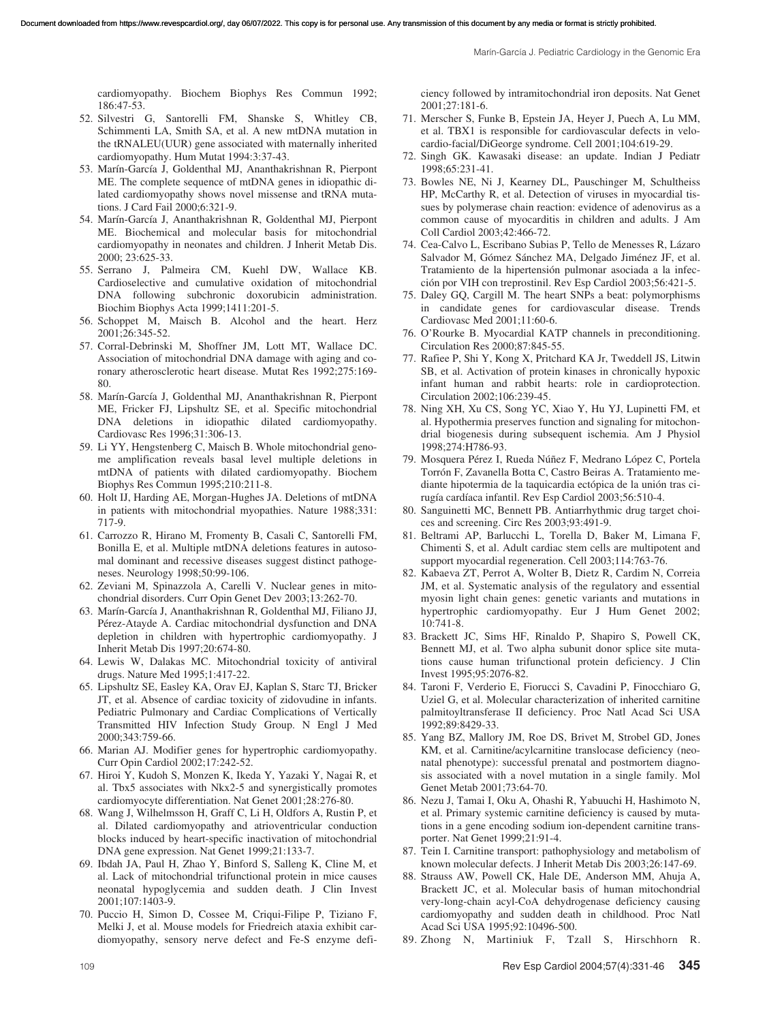cardiomyopathy. Biochem Biophys Res Commun 1992; 186:47-53.

- 52. Silvestri G, Santorelli FM, Shanske S, Whitley CB, Schimmenti LA, Smith SA, et al. A new mtDNA mutation in the tRNALEU(UUR) gene associated with maternally inherited cardiomyopathy. Hum Mutat 1994:3:37-43.
- 53. Marín-García J, Goldenthal MJ, Ananthakrishnan R, Pierpont ME. The complete sequence of mtDNA genes in idiopathic dilated cardiomyopathy shows novel missense and tRNA mutations. J Card Fail 2000;6:321-9.
- 54. Marín-García J, Ananthakrishnan R, Goldenthal MJ, Pierpont ME. Biochemical and molecular basis for mitochondrial cardiomyopathy in neonates and children. J Inherit Metab Dis. 2000; 23:625-33.
- 55. Serrano J, Palmeira CM, Kuehl DW, Wallace KB. Cardioselective and cumulative oxidation of mitochondrial DNA following subchronic doxorubicin administration. Biochim Biophys Acta 1999;1411:201-5.
- 56. Schoppet M, Maisch B. Alcohol and the heart. Herz 2001;26:345-52.
- 57. Corral-Debrinski M, Shoffner JM, Lott MT, Wallace DC. Association of mitochondrial DNA damage with aging and coronary atherosclerotic heart disease. Mutat Res 1992;275:169- 80.
- 58. Marín-García J, Goldenthal MJ, Ananthakrishnan R, Pierpont ME, Fricker FJ, Lipshultz SE, et al. Specific mitochondrial DNA deletions in idiopathic dilated cardiomyopathy. Cardiovasc Res 1996;31:306-13.
- 59. Li YY, Hengstenberg C, Maisch B. Whole mitochondrial genome amplification reveals basal level multiple deletions in mtDNA of patients with dilated cardiomyopathy. Biochem Biophys Res Commun 1995;210:211-8.
- 60. Holt IJ, Harding AE, Morgan-Hughes JA. Deletions of mtDNA in patients with mitochondrial myopathies. Nature 1988;331: 717-9.
- 61. Carrozzo R, Hirano M, Fromenty B, Casali C, Santorelli FM, Bonilla E, et al. Multiple mtDNA deletions features in autosomal dominant and recessive diseases suggest distinct pathogeneses. Neurology 1998;50:99-106.
- 62. Zeviani M, Spinazzola A, Carelli V. Nuclear genes in mitochondrial disorders. Curr Opin Genet Dev 2003;13:262-70.
- 63. Marín-García J, Ananthakrishnan R, Goldenthal MJ, Filiano JJ, Pérez-Atayde A. Cardiac mitochondrial dysfunction and DNA depletion in children with hypertrophic cardiomyopathy. J Inherit Metab Dis 1997;20:674-80.
- 64. Lewis W, Dalakas MC. Mitochondrial toxicity of antiviral drugs. Nature Med 1995;1:417-22.
- 65. Lipshultz SE, Easley KA, Orav EJ, Kaplan S, Starc TJ, Bricker JT, et al. Absence of cardiac toxicity of zidovudine in infants. Pediatric Pulmonary and Cardiac Complications of Vertically Transmitted HIV Infection Study Group. N Engl J Med 2000;343:759-66.
- 66. Marian AJ. Modifier genes for hypertrophic cardiomyopathy. Curr Opin Cardiol 2002;17:242-52.
- 67. Hiroi Y, Kudoh S, Monzen K, Ikeda Y, Yazaki Y, Nagai R, et al. Tbx5 associates with Nkx2-5 and synergistically promotes cardiomyocyte differentiation. Nat Genet 2001;28:276-80.
- 68. Wang J, Wilhelmsson H, Graff C, Li H, Oldfors A, Rustin P, et al. Dilated cardiomyopathy and atrioventricular conduction blocks induced by heart-specific inactivation of mitochondrial DNA gene expression. Nat Genet 1999;21:133-7.
- 69. Ibdah JA, Paul H, Zhao Y, Binford S, Salleng K, Cline M, et al. Lack of mitochondrial trifunctional protein in mice causes neonatal hypoglycemia and sudden death. J Clin Invest 2001;107:1403-9.
- 70. Puccio H, Simon D, Cossee M, Criqui-Filipe P, Tiziano F, Melki J, et al. Mouse models for Friedreich ataxia exhibit cardiomyopathy, sensory nerve defect and Fe-S enzyme defi-

ciency followed by intramitochondrial iron deposits. Nat Genet 2001;27:181-6.

- 71. Merscher S, Funke B, Epstein JA, Heyer J, Puech A, Lu MM, et al. TBX1 is responsible for cardiovascular defects in velocardio-facial/DiGeorge syndrome. Cell 2001;104:619-29.
- 72. Singh GK. Kawasaki disease: an update. Indian J Pediatr 1998;65:231-41.
- 73. Bowles NE, Ni J, Kearney DL, Pauschinger M, Schultheiss HP, McCarthy R, et al. Detection of viruses in myocardial tissues by polymerase chain reaction: evidence of adenovirus as a common cause of myocarditis in children and adults. J Am Coll Cardiol 2003;42:466-72.
- 74. Cea-Calvo L, Escribano Subias P, Tello de Menesses R, Lázaro Salvador M, Gómez Sánchez MA, Delgado Jiménez JF, et al. Tratamiento de la hipertensión pulmonar asociada a la infección por VIH con treprostinil. Rev Esp Cardiol 2003;56:421-5.
- 75. Daley GQ, Cargill M. The heart SNPs a beat: polymorphisms in candidate genes for cardiovascular disease. Trends Cardiovasc Med 2001;11:60-6.
- 76. O'Rourke B. Myocardial KATP channels in preconditioning. Circulation Res 2000;87:845-55.
- 77. Rafiee P, Shi Y, Kong X, Pritchard KA Jr, Tweddell JS, Litwin SB, et al. Activation of protein kinases in chronically hypoxic infant human and rabbit hearts: role in cardioprotection. Circulation 2002;106:239-45.
- 78. Ning XH, Xu CS, Song YC, Xiao Y, Hu YJ, Lupinetti FM, et al. Hypothermia preserves function and signaling for mitochondrial biogenesis during subsequent ischemia. Am J Physiol 1998;274:H786-93.
- 79. Mosquera Pérez I, Rueda Núñez F, Medrano López C, Portela Torrón F, Zavanella Botta C, Castro Beiras A. Tratamiento mediante hipotermia de la taquicardia ectópica de la unión tras cirugía cardíaca infantil. Rev Esp Cardiol 2003;56:510-4.
- 80. Sanguinetti MC, Bennett PB. Antiarrhythmic drug target choices and screening. Circ Res 2003;93:491-9.
- 81. Beltrami AP, Barlucchi L, Torella D, Baker M, Limana F, Chimenti S, et al. Adult cardiac stem cells are multipotent and support myocardial regeneration. Cell 2003;114:763-76.
- 82. Kabaeva ZT, Perrot A, Wolter B, Dietz R, Cardim N, Correia JM, et al. Systematic analysis of the regulatory and essential myosin light chain genes: genetic variants and mutations in hypertrophic cardiomyopathy. Eur J Hum Genet 2002; 10:741-8.
- 83. Brackett JC, Sims HF, Rinaldo P, Shapiro S, Powell CK, Bennett MJ, et al. Two alpha subunit donor splice site mutations cause human trifunctional protein deficiency. J Clin Invest 1995;95:2076-82.
- 84. Taroni F, Verderio E, Fiorucci S, Cavadini P, Finocchiaro G, Uziel G, et al. Molecular characterization of inherited carnitine palmitoyltransferase II deficiency. Proc Natl Acad Sci USA 1992;89:8429-33.
- 85. Yang BZ, Mallory JM, Roe DS, Brivet M, Strobel GD, Jones KM, et al. Carnitine/acylcarnitine translocase deficiency (neonatal phenotype): successful prenatal and postmortem diagnosis associated with a novel mutation in a single family. Mol Genet Metab 2001;73:64-70.
- 86. Nezu J, Tamai I, Oku A, Ohashi R, Yabuuchi H, Hashimoto N, et al. Primary systemic carnitine deficiency is caused by mutations in a gene encoding sodium ion-dependent carnitine transporter. Nat Genet 1999;21:91-4.
- 87. Tein I. Carnitine transport: pathophysiology and metabolism of known molecular defects. J Inherit Metab Dis 2003;26:147-69.
- 88. Strauss AW, Powell CK, Hale DE, Anderson MM, Ahuja A, Brackett JC, et al. Molecular basis of human mitochondrial very-long-chain acyl-CoA dehydrogenase deficiency causing cardiomyopathy and sudden death in childhood. Proc Natl Acad Sci USA 1995;92:10496-500.
- 89. Zhong N, Martiniuk F, Tzall S, Hirschhorn R.